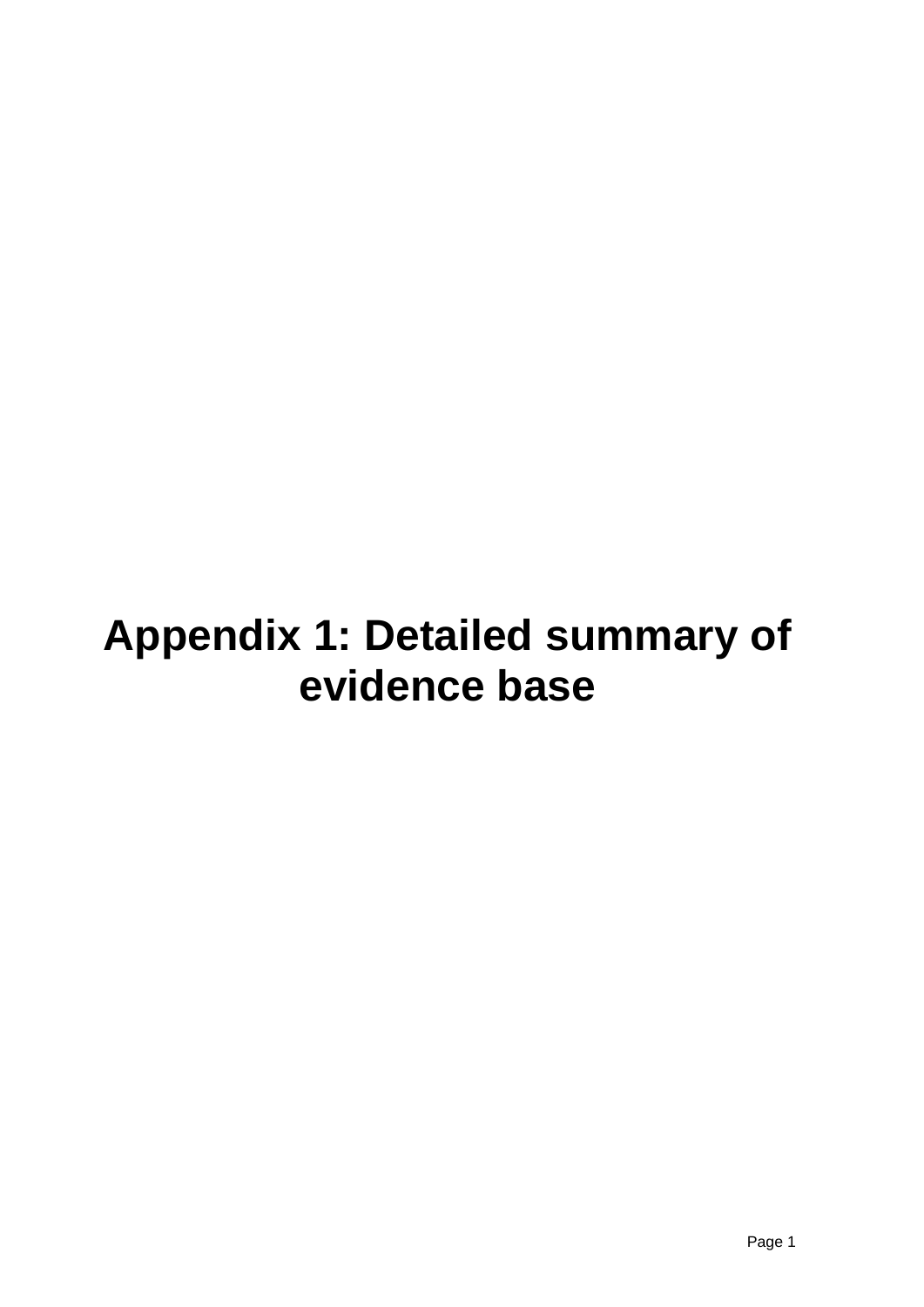# **Appendix 1: Detailed summary of evidence base**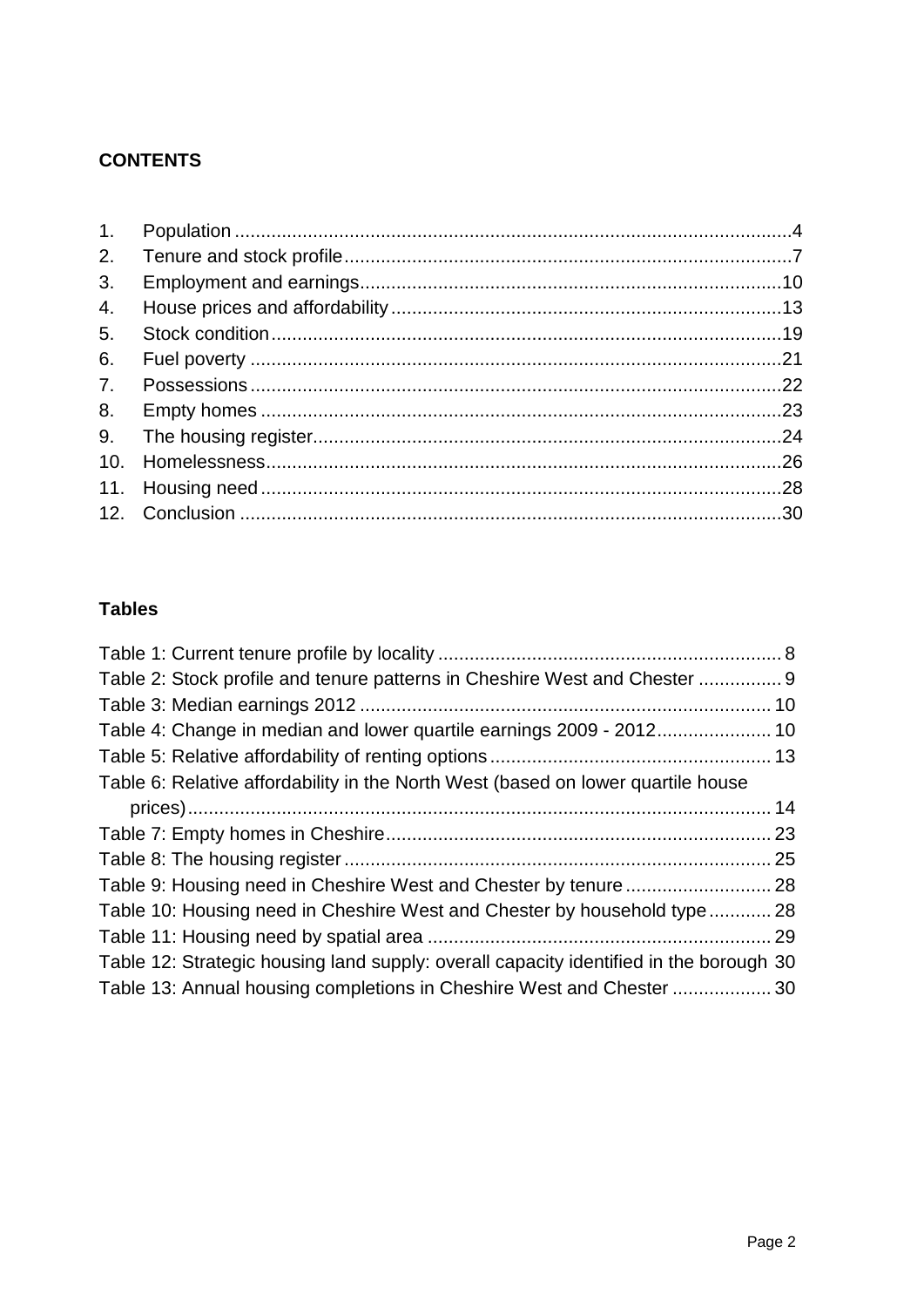### **CONTENTS**

### **Tables**

| Table 2: Stock profile and tenure patterns in Cheshire West and Chester  9             |  |
|----------------------------------------------------------------------------------------|--|
|                                                                                        |  |
|                                                                                        |  |
|                                                                                        |  |
| Table 6: Relative affordability in the North West (based on lower quartile house       |  |
|                                                                                        |  |
|                                                                                        |  |
|                                                                                        |  |
|                                                                                        |  |
| Table 10: Housing need in Cheshire West and Chester by household type 28               |  |
|                                                                                        |  |
| Table 12: Strategic housing land supply: overall capacity identified in the borough 30 |  |
| Table 13: Annual housing completions in Cheshire West and Chester  30                  |  |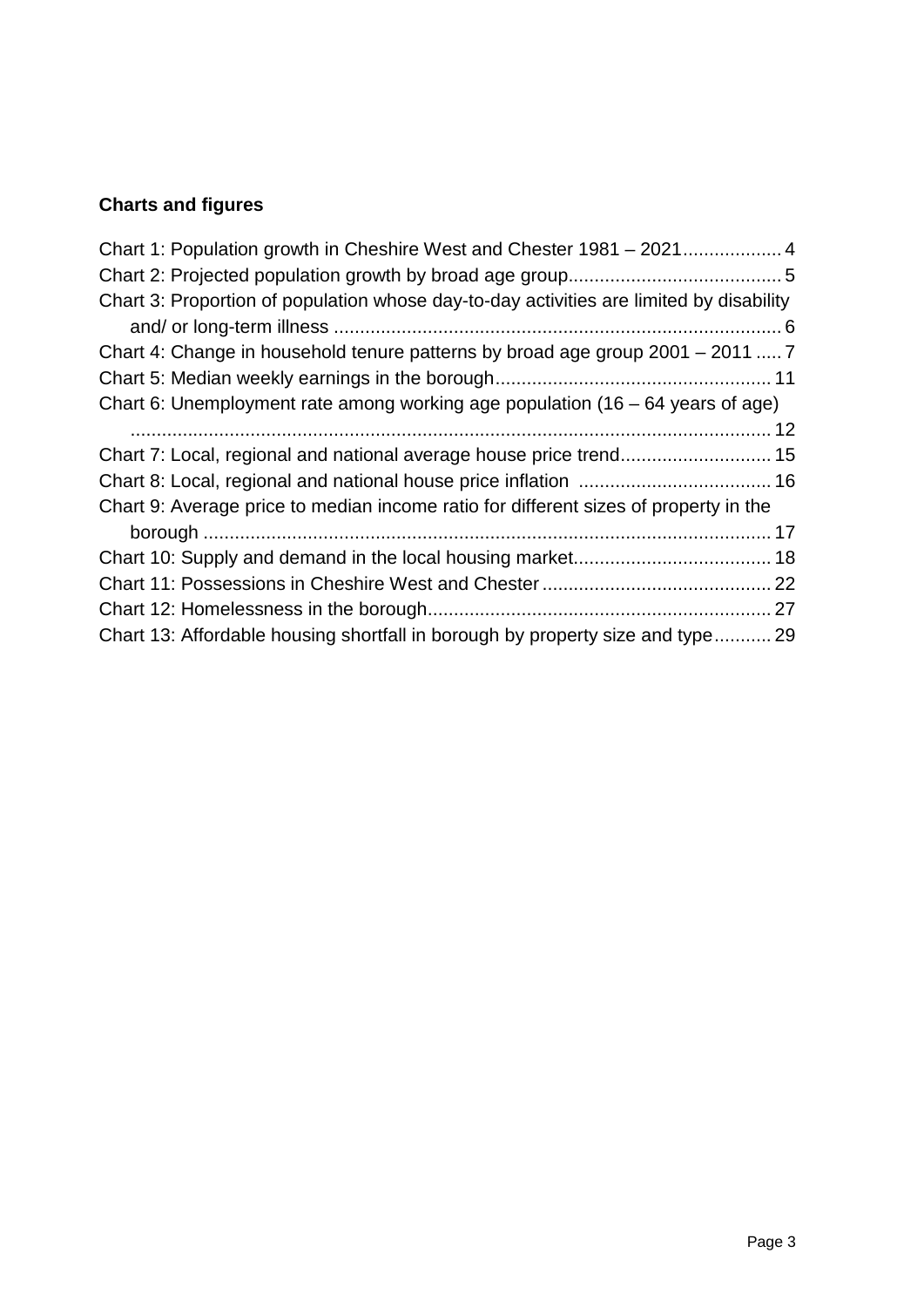# **Charts and figures**

| Chart 3: Proportion of population whose day-to-day activities are limited by disability |  |
|-----------------------------------------------------------------------------------------|--|
|                                                                                         |  |
| Chart 4: Change in household tenure patterns by broad age group 2001 – 2011  7          |  |
|                                                                                         |  |
| Chart 6: Unemployment rate among working age population $(16 - 64$ years of age)        |  |
|                                                                                         |  |
|                                                                                         |  |
|                                                                                         |  |
| Chart 9: Average price to median income ratio for different sizes of property in the    |  |
|                                                                                         |  |
|                                                                                         |  |
|                                                                                         |  |
|                                                                                         |  |
| Chart 13: Affordable housing shortfall in borough by property size and type 29          |  |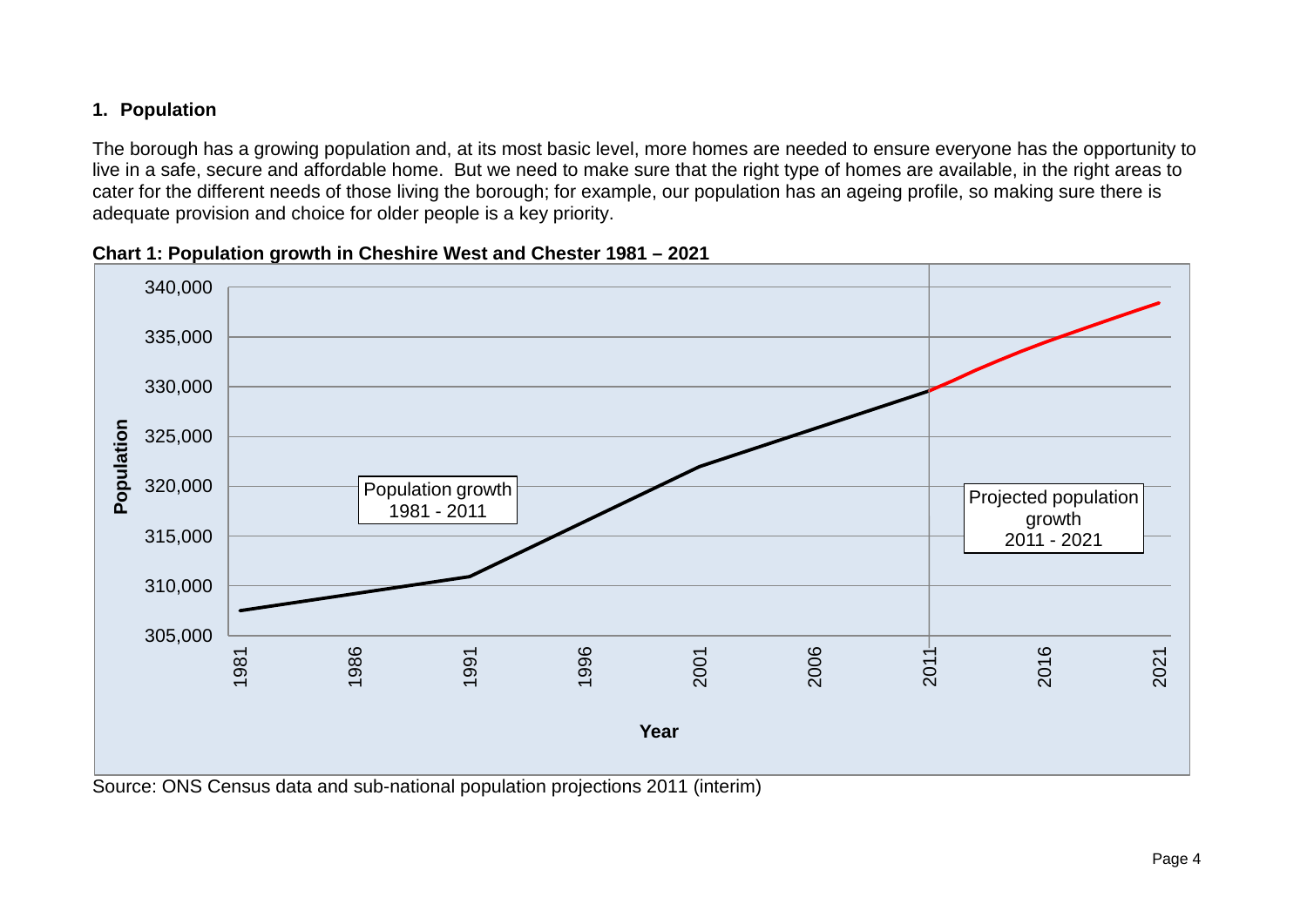### **1. Population**

The borough has a growing population and, at its most basic level, more homes are needed to ensure everyone has the opportunity to live in a safe, secure and affordable home. But we need to make sure that the right type of homes are available, in the right areas to cater for the different needs of those living the borough; for example, our population has an ageing profile, so making sure there is adequate provision and choice for older people is a key priority.

<span id="page-3-0"></span>

**Chart 1: Population growth in Cheshire West and Chester 1981 – 2021**

<span id="page-3-1"></span>Source: ONS Census data and sub-national population projections 2011 (interim)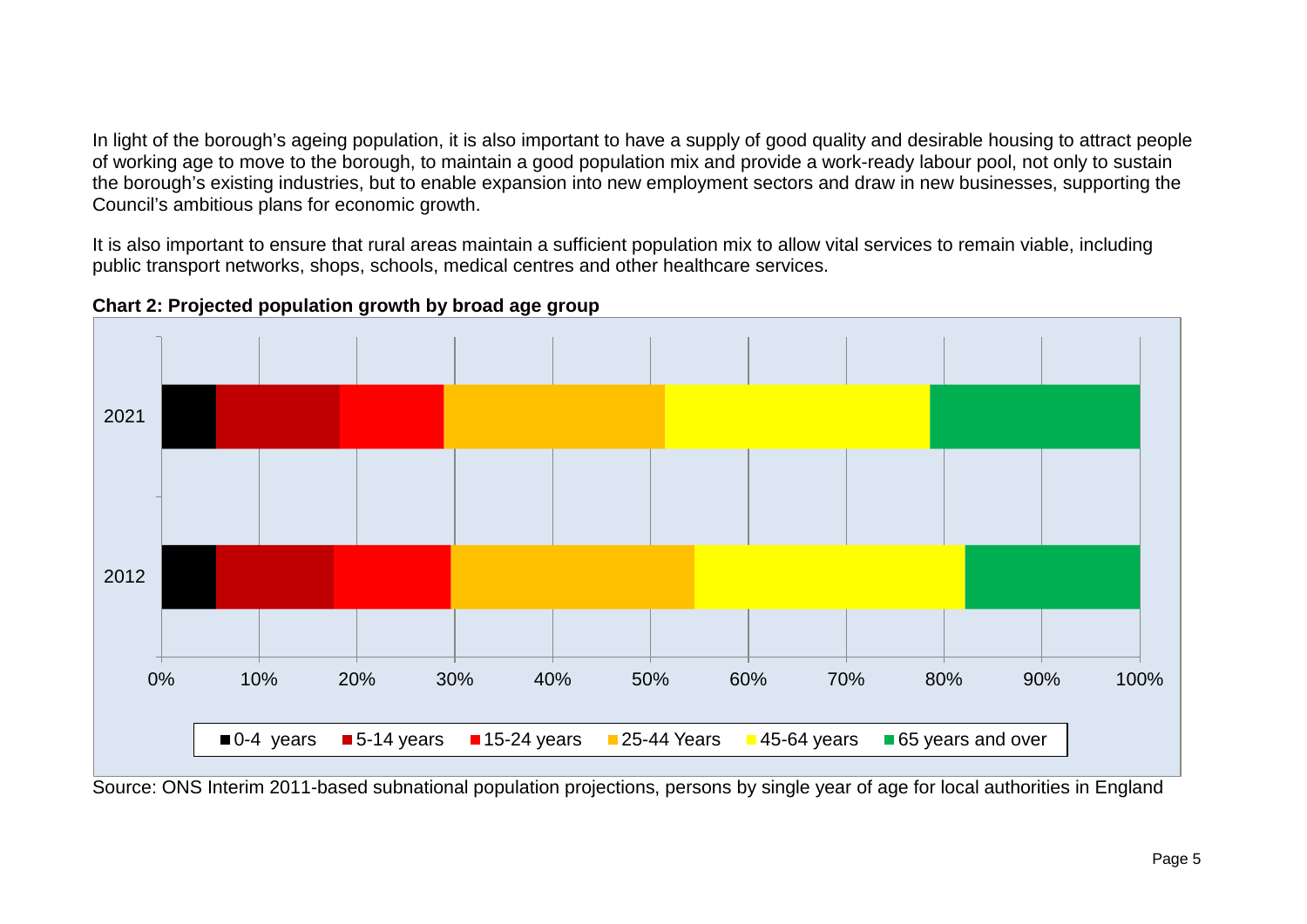In light of the borough's ageing population, it is also important to have a supply of good quality and desirable housing to attract people of working age to move to the borough, to maintain a good population mix and provide a work-ready labour pool, not only to sustain the borough's existing industries, but to enable expansion into new employment sectors and draw in new businesses, supporting the Council's ambitious plans for economic growth.

It is also important to ensure that rural areas maintain a sufficient population mix to allow vital services to remain viable, including public transport networks, shops, schools, medical centres and other healthcare services.



**Chart 2: Projected population growth by broad age group**

<span id="page-4-0"></span>Source: ONS Interim 2011-based subnational population projections, persons by single year of age for local authorities in England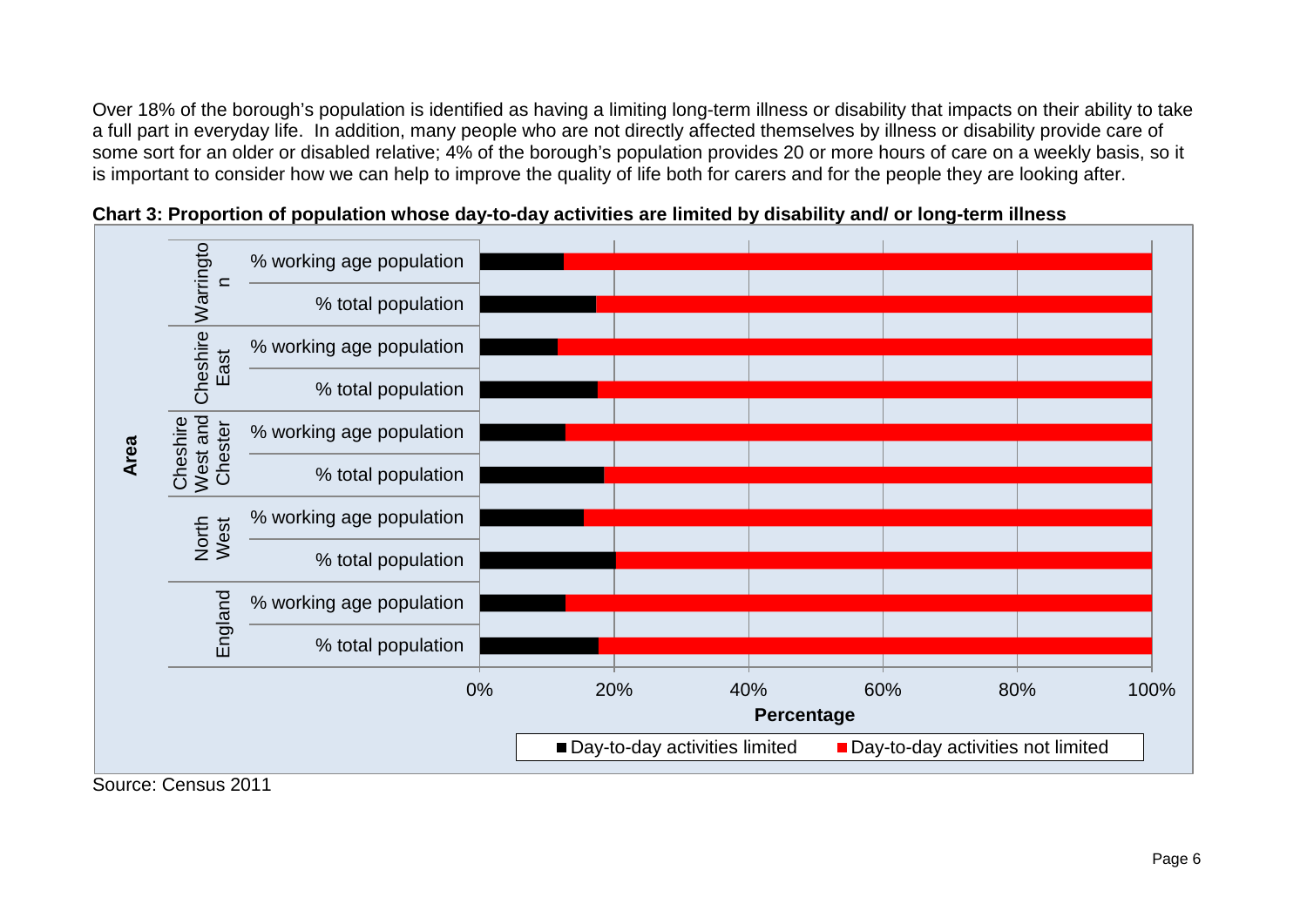Over 18% of the borough's population is identified as having a limiting long-term illness or disability that impacts on their ability to take a full part in everyday life. In addition, many people who are not directly affected themselves by illness or disability provide care of some sort for an older or disabled relative; 4% of the borough's population provides 20 or more hours of care on a weekly basis, so it is important to consider how we can help to improve the quality of life both for carers and for the people they are looking after.





<span id="page-5-0"></span>Source: Census 2011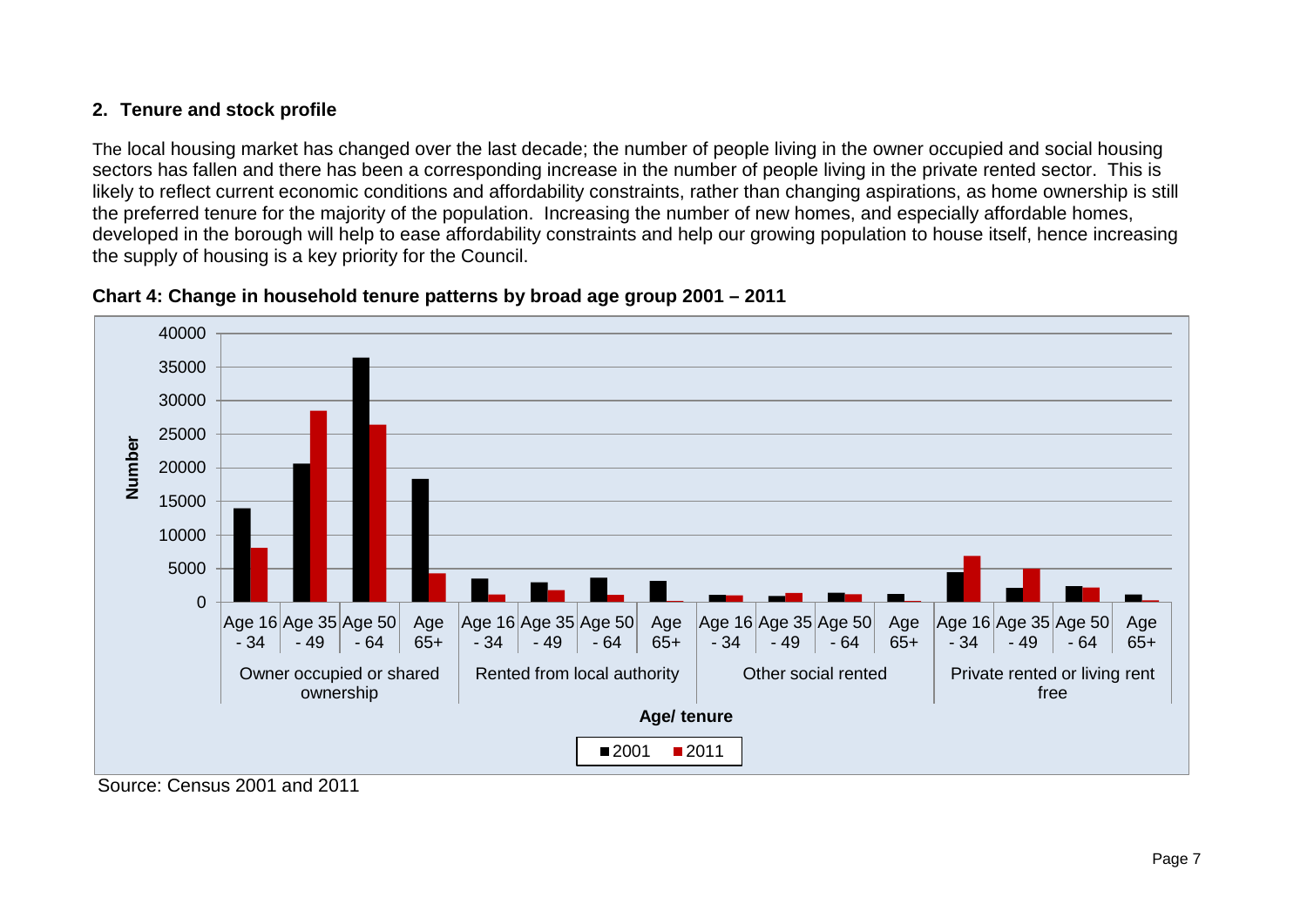### **2. Tenure and stock profile**

The local housing market has changed over the last decade; the number of people living in the owner occupied and social housing sectors has fallen and there has been a corresponding increase in the number of people living in the private rented sector. This is likely to reflect current economic conditions and affordability constraints, rather than changing aspirations, as home ownership is still the preferred tenure for the majority of the population. Increasing the number of new homes, and especially affordable homes, developed in the borough will help to ease affordability constraints and help our growing population to house itself, hence increasing the supply of housing is a key priority for the Council.

<span id="page-6-0"></span>

#### **Chart 4: Change in household tenure patterns by broad age group 2001 – 2011**

<span id="page-6-1"></span>Source: Census 2001 and 2011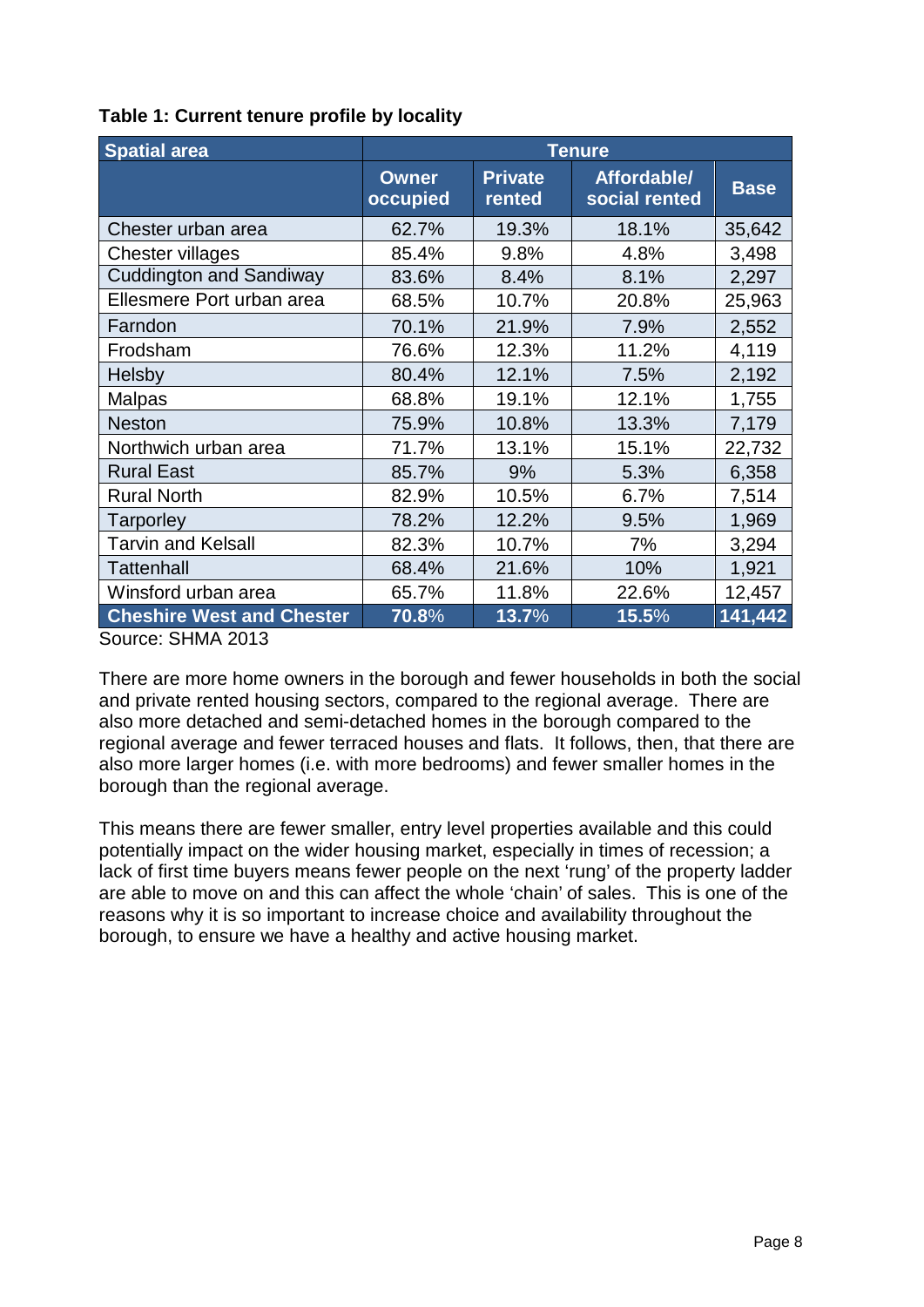| <b>Spatial area</b>              | <b>Tenure</b>            |                          |                              |             |  |
|----------------------------------|--------------------------|--------------------------|------------------------------|-------------|--|
|                                  | <b>Owner</b><br>occupied | <b>Private</b><br>rented | Affordable/<br>social rented | <b>Base</b> |  |
| Chester urban area               | 62.7%                    | 19.3%                    | 18.1%                        | 35,642      |  |
| Chester villages                 | 85.4%                    | 9.8%                     | 4.8%                         | 3,498       |  |
| <b>Cuddington and Sandiway</b>   | 83.6%                    | 8.4%                     | 8.1%                         | 2,297       |  |
| Ellesmere Port urban area        | 68.5%                    | 10.7%                    | 20.8%                        | 25,963      |  |
| Farndon                          | 70.1%                    | 21.9%                    | 7.9%                         | 2,552       |  |
| Frodsham                         | 76.6%                    | 12.3%                    | 11.2%                        | 4,119       |  |
| <b>Helsby</b>                    | 80.4%                    | 12.1%                    | 7.5%                         | 2,192       |  |
| <b>Malpas</b>                    | 68.8%                    | 19.1%                    | 12.1%                        | 1,755       |  |
| <b>Neston</b>                    | 75.9%                    | 10.8%                    | 13.3%                        | 7,179       |  |
| Northwich urban area             | 71.7%                    | 13.1%                    | 15.1%                        | 22,732      |  |
| <b>Rural East</b>                | 85.7%                    | 9%                       | 5.3%                         | 6,358       |  |
| <b>Rural North</b>               | 82.9%                    | 10.5%                    | 6.7%                         | 7,514       |  |
| Tarporley                        | 78.2%                    | 12.2%                    | 9.5%                         | 1,969       |  |
| <b>Tarvin and Kelsall</b>        | 82.3%                    | 10.7%                    | 7%                           | 3,294       |  |
| <b>Tattenhall</b>                | 68.4%                    | 21.6%                    | 10%                          | 1,921       |  |
| Winsford urban area              | 65.7%                    | 11.8%                    | 22.6%                        | 12,457      |  |
| <b>Cheshire West and Chester</b> | 70.8%                    | 13.7%                    | 15.5%                        | 141,442     |  |

<span id="page-7-0"></span>**Table 1: Current tenure profile by locality**

Source: SHMA 2013

There are more home owners in the borough and fewer households in both the social and private rented housing sectors, compared to the regional average. There are also more detached and semi-detached homes in the borough compared to the regional average and fewer terraced houses and flats. It follows, then, that there are also more larger homes (i.e. with more bedrooms) and fewer smaller homes in the borough than the regional average.

This means there are fewer smaller, entry level properties available and this could potentially impact on the wider housing market, especially in times of recession; a lack of first time buyers means fewer people on the next 'rung' of the property ladder are able to move on and this can affect the whole 'chain' of sales. This is one of the reasons why it is so important to increase choice and availability throughout the borough, to ensure we have a healthy and active housing market.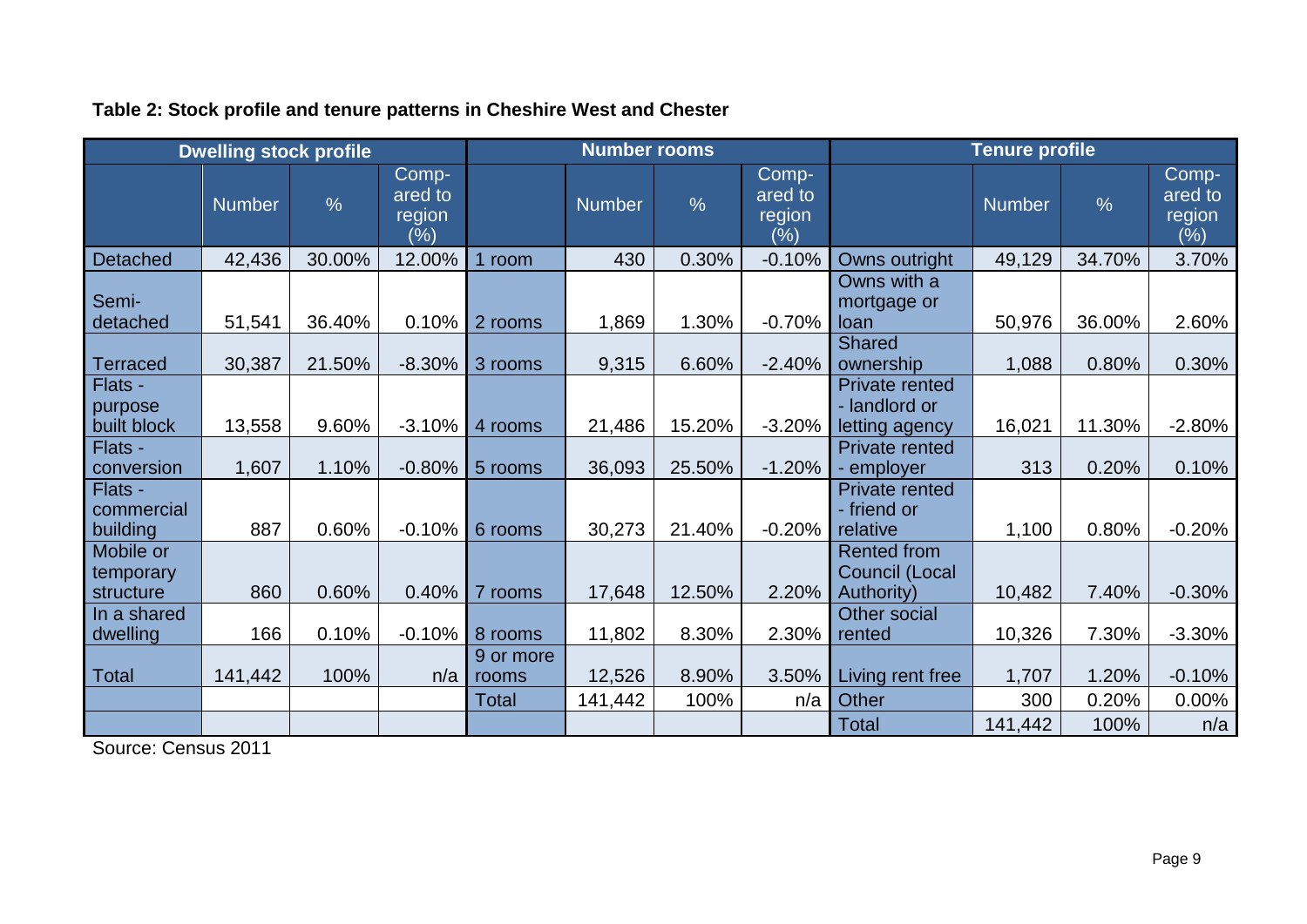|                                     | <b>Dwelling stock profile</b> |               |                                   |                    | <b>Number rooms</b> |               |                                       | <b>Tenure profile</b>                                     |               |               |                                   |
|-------------------------------------|-------------------------------|---------------|-----------------------------------|--------------------|---------------------|---------------|---------------------------------------|-----------------------------------------------------------|---------------|---------------|-----------------------------------|
|                                     | <b>Number</b>                 | $\frac{0}{6}$ | Comp-<br>ared to<br>region<br>(%) |                    | <b>Number</b>       | $\frac{0}{0}$ | Comp-<br>ared to<br>region<br>$(\% )$ |                                                           | <b>Number</b> | $\frac{0}{0}$ | Comp-<br>ared to<br>region<br>(%) |
| <b>Detached</b>                     | 42,436                        | 30.00%        | 12.00%                            | room               | 430                 | 0.30%         | $-0.10%$                              | Owns outright                                             | 49,129        | 34.70%        | 3.70%                             |
| Semi-<br>detached                   | 51,541                        | 36.40%        | 0.10%                             | 2 rooms            | 1,869               | 1.30%         | $-0.70%$                              | Owns with a<br>mortgage or<br>loan                        | 50,976        | 36.00%        | 2.60%                             |
| <b>Terraced</b>                     | 30,387                        | 21.50%        | $-8.30%$                          | 3 rooms            | 9,315               | 6.60%         | $-2.40%$                              | <b>Shared</b><br>ownership                                | 1,088         | 0.80%         | 0.30%                             |
| Flats -<br>purpose<br>built block   | 13,558                        | 9.60%         | $-3.10%$                          | 4 rooms            | 21,486              | 15.20%        | $-3.20%$                              | <b>Private rented</b><br>- landlord or<br>letting agency  | 16,021        | 11.30%        | $-2.80%$                          |
| Flats -<br>conversion               | 1,607                         | 1.10%         | $-0.80%$                          | 5 rooms            | 36,093              | 25.50%        | $-1.20%$                              | <b>Private rented</b><br>- employer                       | 313           | 0.20%         | 0.10%                             |
| Flats -<br>commercial<br>building   | 887                           | 0.60%         | $-0.10%$                          | 6 rooms            | 30,273              | 21.40%        | $-0.20%$                              | <b>Private rented</b><br>- friend or<br>relative          | 1,100         | 0.80%         | $-0.20%$                          |
| Mobile or<br>temporary<br>structure | 860                           | 0.60%         | 0.40%                             | 7 rooms            | 17,648              | 12.50%        | 2.20%                                 | <b>Rented from</b><br>Council (Local<br><b>Authority)</b> | 10,482        | 7.40%         | $-0.30%$                          |
| In a shared<br>dwelling             | 166                           | 0.10%         | $-0.10%$                          | 8 rooms            | 11,802              | 8.30%         | 2.30%                                 | <b>Other social</b><br>rented                             | 10,326        | 7.30%         | $-3.30%$                          |
| <b>Total</b>                        | 141,442                       | 100%          | n/a                               | 9 or more<br>rooms | 12,526              | 8.90%         | 3.50%                                 | Living rent free                                          | 1,707         | 1.20%         | $-0.10%$                          |
|                                     |                               |               |                                   | Total              | 141,442             | 100%          | n/a                                   | Other                                                     | 300           | 0.20%         | 0.00%                             |
|                                     |                               |               |                                   |                    |                     |               |                                       | <b>Total</b>                                              | 141,442       | 100%          | n/a                               |

### **Table 2: Stock profile and tenure patterns in Cheshire West and Chester**

<span id="page-8-0"></span>Source: Census 2011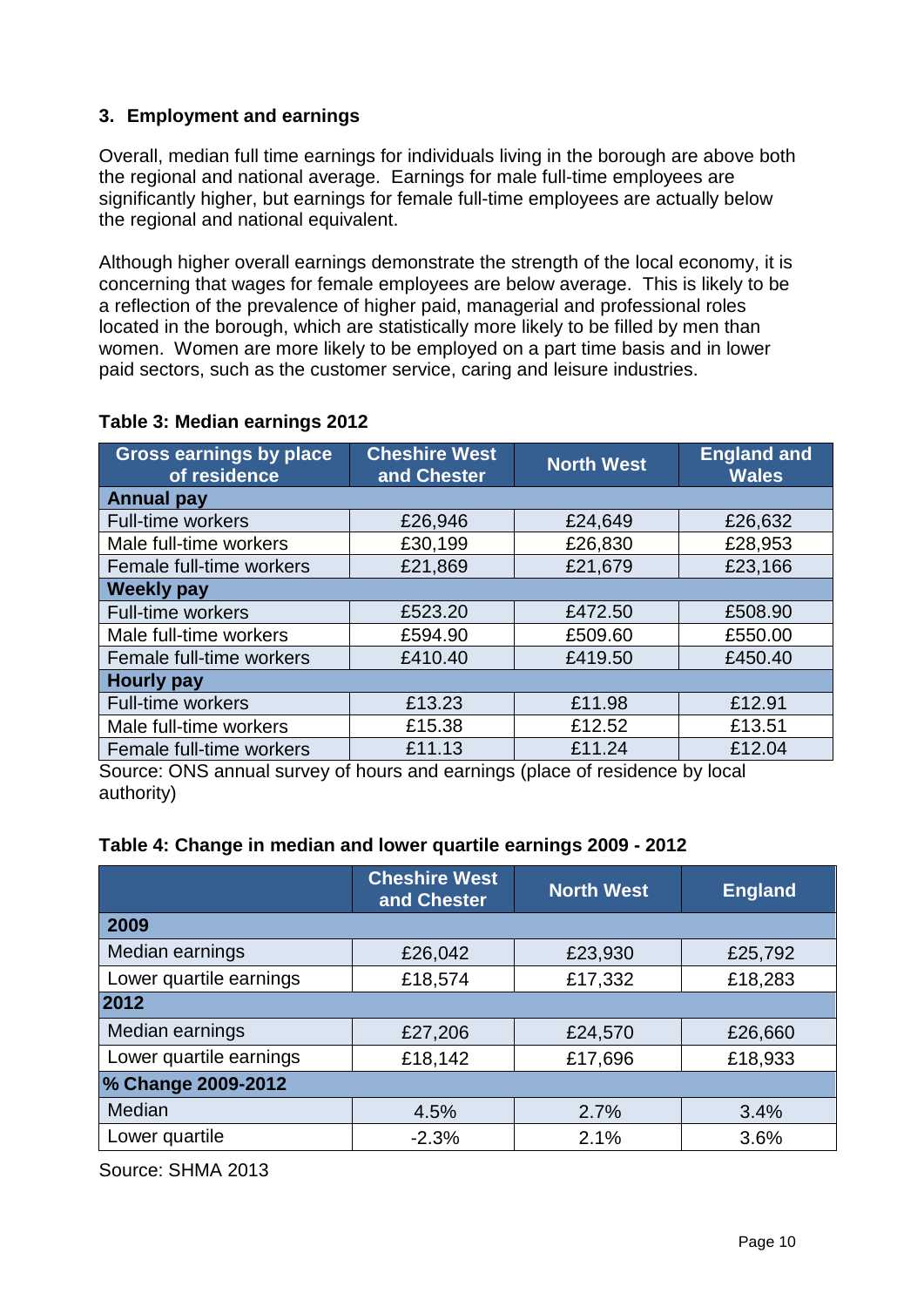### <span id="page-9-0"></span>**3. Employment and earnings**

Overall, median full time earnings for individuals living in the borough are above both the regional and national average. Earnings for male full-time employees are significantly higher, but earnings for female full-time employees are actually below the regional and national equivalent.

Although higher overall earnings demonstrate the strength of the local economy, it is concerning that wages for female employees are below average. This is likely to be a reflection of the prevalence of higher paid, managerial and professional roles located in the borough, which are statistically more likely to be filled by men than women. Women are more likely to be employed on a part time basis and in lower paid sectors, such as the customer service, caring and leisure industries.

| <b>Gross earnings by place</b><br>of residence | <b>Cheshire West</b><br>and Chester | <b>North West</b> | <b>England and</b><br><b>Wales</b> |  |  |  |  |
|------------------------------------------------|-------------------------------------|-------------------|------------------------------------|--|--|--|--|
| <b>Annual pay</b>                              |                                     |                   |                                    |  |  |  |  |
| <b>Full-time workers</b>                       | £26,946                             | £24,649           | £26,632                            |  |  |  |  |
| Male full-time workers                         | £30,199                             | £26,830           | £28,953                            |  |  |  |  |
| Female full-time workers                       | £21,869                             | £21,679           | £23,166                            |  |  |  |  |
| <b>Weekly pay</b>                              |                                     |                   |                                    |  |  |  |  |
| <b>Full-time workers</b>                       | £523.20                             | £472.50           | £508.90                            |  |  |  |  |
| Male full-time workers                         | £594.90                             | £509.60           | £550.00                            |  |  |  |  |
| Female full-time workers                       | £410.40                             | £419.50           | £450.40                            |  |  |  |  |
| <b>Hourly pay</b>                              |                                     |                   |                                    |  |  |  |  |
| <b>Full-time workers</b>                       | £13.23                              | £11.98            | £12.91                             |  |  |  |  |
| Male full-time workers                         | £15.38                              | £12.52            | £13.51                             |  |  |  |  |
| Female full-time workers                       | £11.13<br>. .                       | £11.24<br>$\sim$  | £12.04                             |  |  |  |  |

### <span id="page-9-1"></span>**Table 3: Median earnings 2012**

Source: ONS annual survey of hours and earnings (place of residence by local authority)

<span id="page-9-2"></span>

|  | Table 4: Change in median and lower quartile earnings 2009 - 2012 |  |  |  |
|--|-------------------------------------------------------------------|--|--|--|
|--|-------------------------------------------------------------------|--|--|--|

|                         | <b>Cheshire West</b><br>and Chester | <b>North West</b> | <b>England</b> |  |  |
|-------------------------|-------------------------------------|-------------------|----------------|--|--|
| 2009                    |                                     |                   |                |  |  |
| Median earnings         | £26,042                             | £23,930           | £25,792        |  |  |
| Lower quartile earnings | £18,574                             | £17,332           |                |  |  |
| 2012                    |                                     |                   |                |  |  |
| Median earnings         | £27,206                             | £24,570           | £26,660        |  |  |
| Lower quartile earnings | £18,142                             | £17,696           | £18,933        |  |  |
| % Change 2009-2012      |                                     |                   |                |  |  |
| Median                  | 4.5%                                | 2.7%              | 3.4%           |  |  |
| Lower quartile          | $-2.3%$                             | 2.1%              | 3.6%           |  |  |

Source: SHMA 2013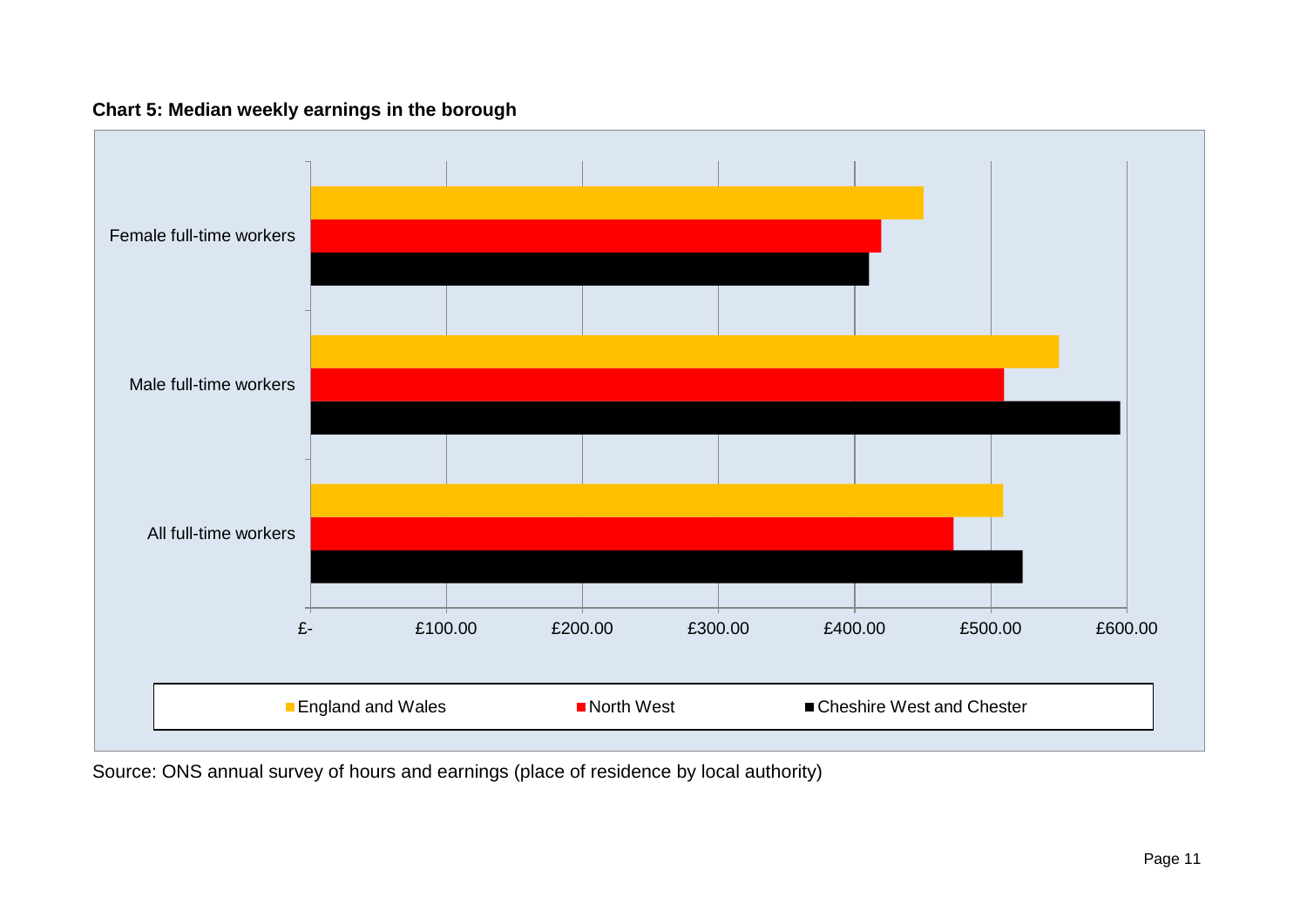### **Chart 5: Median weekly earnings in the borough**



<span id="page-10-0"></span>Source: ONS annual survey of hours and earnings (place of residence by local authority)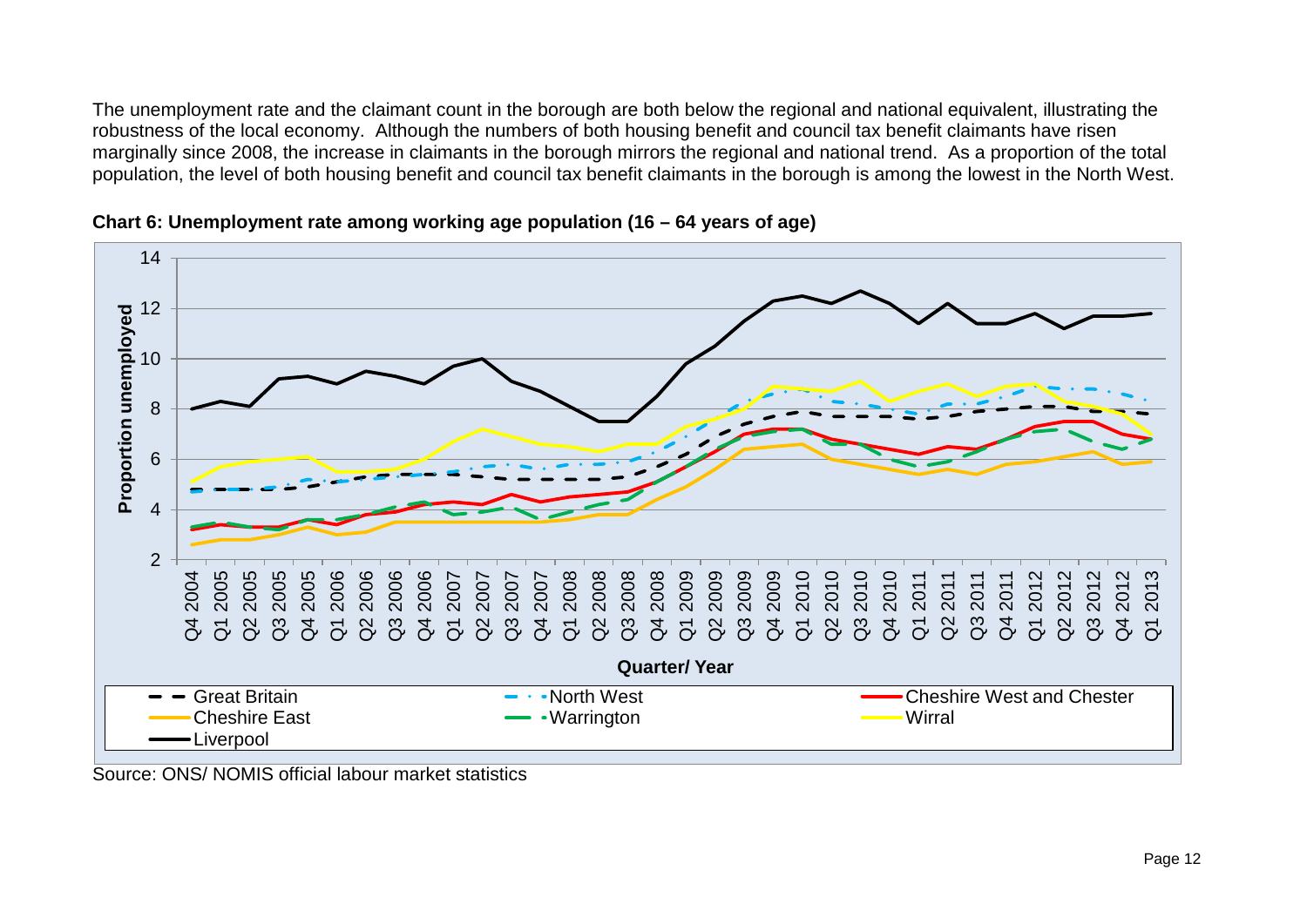The unemployment rate and the claimant count in the borough are both below the regional and national equivalent, illustrating the robustness of the local economy. Although the numbers of both housing benefit and council tax benefit claimants have risen marginally since 2008, the increase in claimants in the borough mirrors the regional and national trend. As a proportion of the total population, the level of both housing benefit and council tax benefit claimants in the borough is among the lowest in the North West.





<span id="page-11-0"></span>Source: ONS/ NOMIS official labour market statistics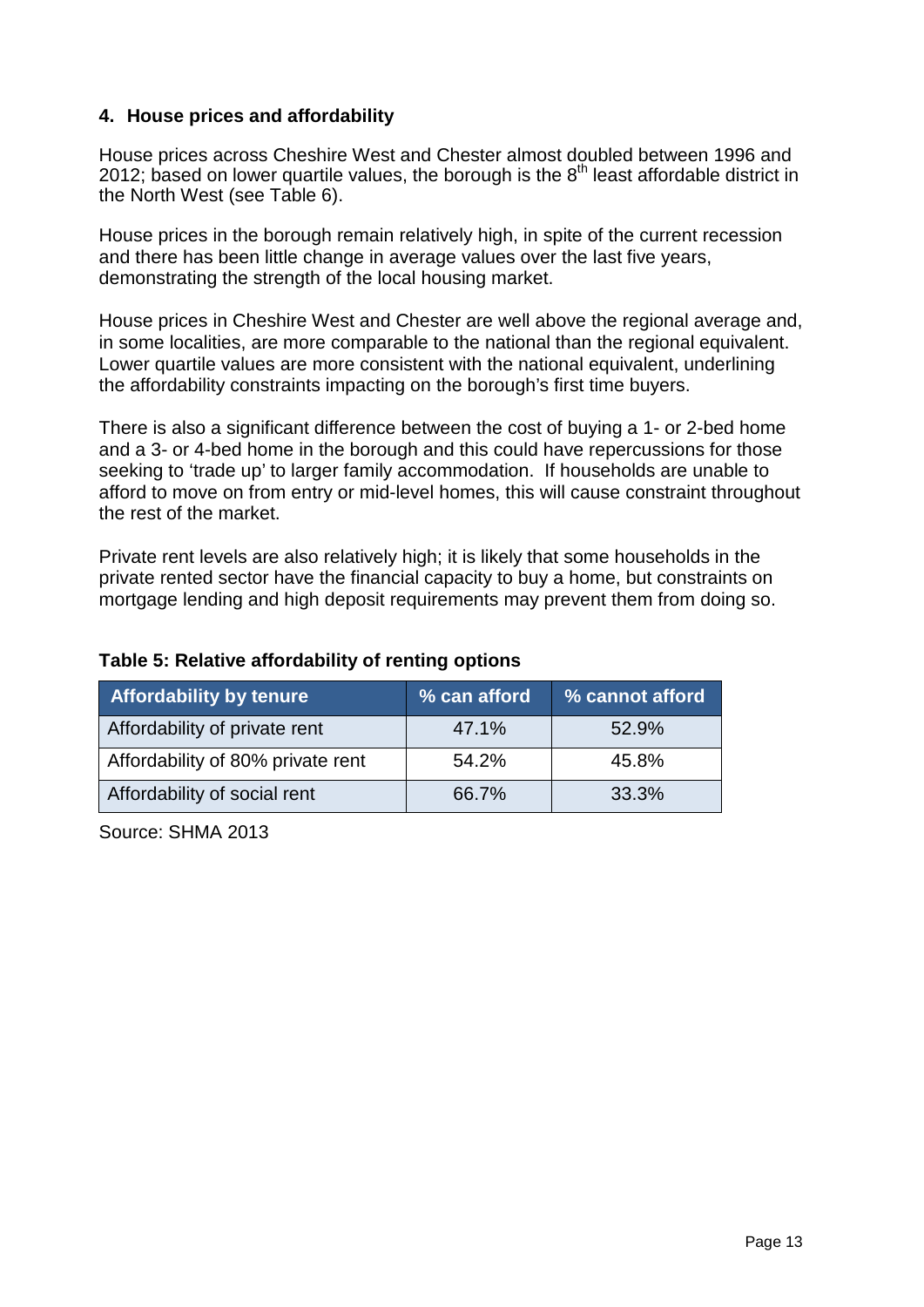### <span id="page-12-0"></span>**4. House prices and affordability**

House prices across Cheshire West and Chester almost doubled between 1996 and 2012; based on lower quartile values, the borough is the  $8<sup>th</sup>$  least affordable district in the North West (see Table 6).

House prices in the borough remain relatively high, in spite of the current recession and there has been little change in average values over the last five years, demonstrating the strength of the local housing market.

House prices in Cheshire West and Chester are well above the regional average and, in some localities, are more comparable to the national than the regional equivalent. Lower quartile values are more consistent with the national equivalent, underlining the affordability constraints impacting on the borough's first time buyers.

There is also a significant difference between the cost of buying a 1- or 2-bed home and a 3- or 4-bed home in the borough and this could have repercussions for those seeking to 'trade up' to larger family accommodation. If households are unable to afford to move on from entry or mid-level homes, this will cause constraint throughout the rest of the market.

Private rent levels are also relatively high; it is likely that some households in the private rented sector have the financial capacity to buy a home, but constraints on mortgage lending and high deposit requirements may prevent them from doing so.

| <b>Affordability by tenure</b>    | % can afford | % cannot afford |
|-----------------------------------|--------------|-----------------|
| Affordability of private rent     | 47.1%        | 52.9%           |
| Affordability of 80% private rent | 54.2%        | 45.8%           |
| Affordability of social rent      | 66.7%        | 33.3%           |

### <span id="page-12-1"></span>**Table 5: Relative affordability of renting options**

Source: SHMA 2013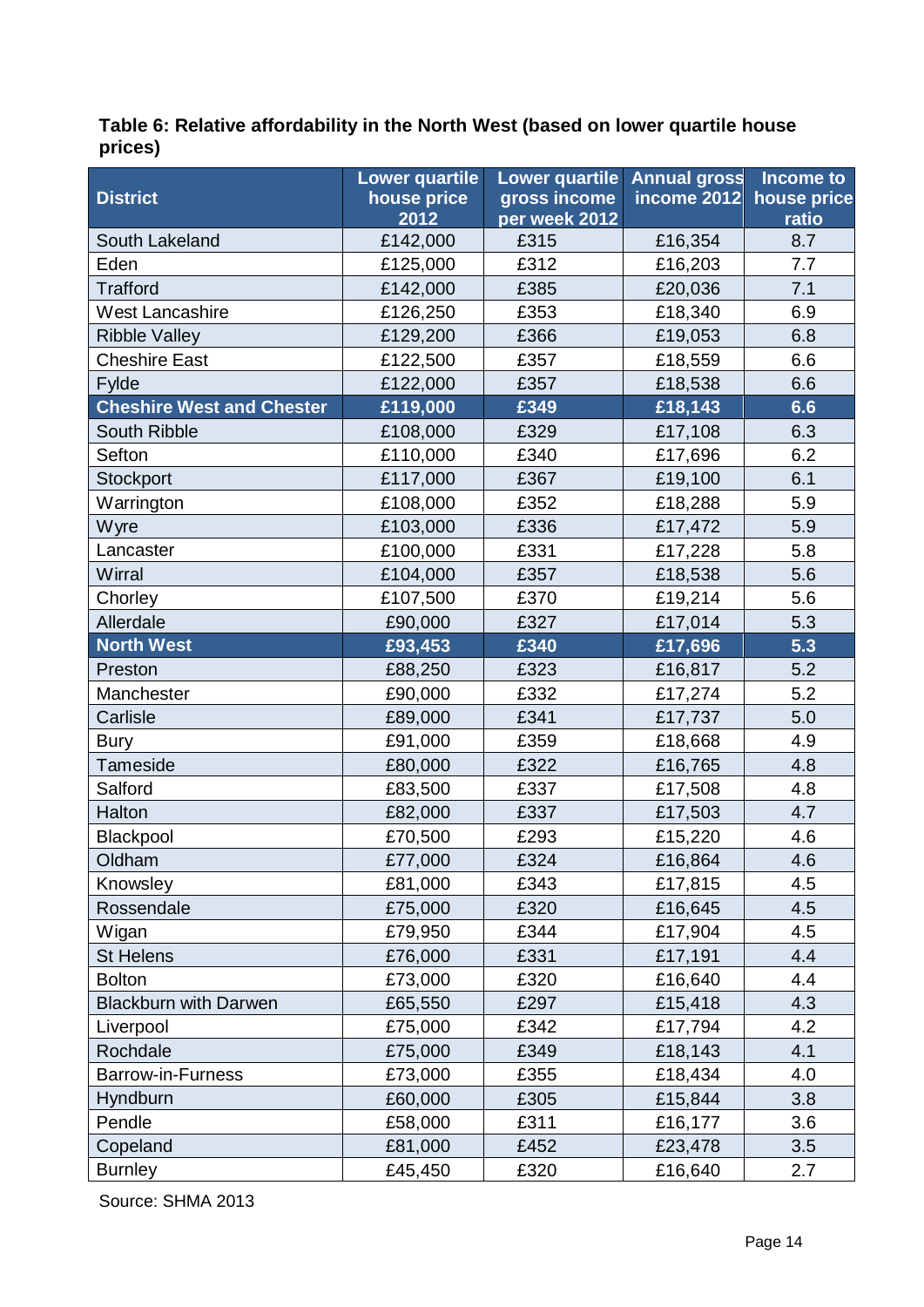### <span id="page-13-0"></span>**Table 6: Relative affordability in the North West (based on lower quartile house prices)**

| <b>District</b>                  | <b>Lower quartile</b><br>house price | <b>Lower quartile</b><br>gross income | <b>Annual gross</b><br>income 2012 | Income to<br>house price |
|----------------------------------|--------------------------------------|---------------------------------------|------------------------------------|--------------------------|
|                                  | 2012                                 | per week 2012                         |                                    | ratio                    |
| South Lakeland                   | £142,000                             | £315                                  | £16,354                            | 8.7                      |
| Eden                             | £125,000                             | £312                                  | £16,203                            | 7.7                      |
| <b>Trafford</b>                  | £142,000                             | £385                                  | £20,036                            | 7.1                      |
| <b>West Lancashire</b>           | £126,250                             | £353                                  | £18,340                            | 6.9                      |
| <b>Ribble Valley</b>             | £129,200                             | £366                                  | £19,053                            | 6.8                      |
| <b>Cheshire East</b>             | £122,500                             | £357                                  | £18,559                            | 6.6                      |
| Fylde                            | £122,000                             | £357                                  | £18,538                            | 6.6                      |
| <b>Cheshire West and Chester</b> | £119,000                             | £349                                  | £18,143                            | 6.6                      |
| South Ribble                     | £108,000                             | £329                                  | £17,108                            | 6.3                      |
| Sefton                           | £110,000                             | £340                                  | £17,696                            | 6.2                      |
| Stockport                        | £117,000                             | £367                                  | £19,100                            | 6.1                      |
| Warrington                       | £108,000                             | £352                                  | £18,288                            | 5.9                      |
| Wyre                             | £103,000                             | £336                                  | £17,472                            | 5.9                      |
| Lancaster                        | £100,000                             | £331                                  | £17,228                            | 5.8                      |
| Wirral                           | £104,000                             | £357                                  | £18,538                            | 5.6                      |
| Chorley                          | £107,500                             | £370                                  | £19,214                            | 5.6                      |
| Allerdale                        | £90,000                              | £327                                  | £17,014                            | 5.3                      |
| North West                       | £93,453                              | £340                                  | £17,696                            | 5.3                      |
| Preston                          | £88,250                              | £323                                  | £16,817                            | 5.2                      |
| Manchester                       | £90,000                              | £332                                  | £17,274                            | 5.2                      |
| Carlisle                         | £89,000                              | £341                                  | £17,737                            | 5.0                      |
| <b>Bury</b>                      | £91,000                              | £359                                  | £18,668                            | 4.9                      |
| <b>Tameside</b>                  | £80,000                              | £322                                  | £16,765                            | 4.8                      |
| Salford                          | £83,500                              | £337                                  | £17,508                            | 4.8                      |
| Halton                           | £82,000                              | £337                                  | £17,503                            | 4.7                      |
| Blackpool                        | £70,500                              | £293                                  | £15,220                            | 4.6                      |
| Oldham                           | £77,000                              | £324                                  | £16,864                            | 4.6                      |
| Knowsley                         | £81,000                              | £343                                  | £17,815                            | 4.5                      |
| Rossendale                       | £75,000                              | £320                                  | £16,645                            | 4.5                      |
| Wigan                            | £79,950                              | £344                                  | £17,904                            | 4.5                      |
| <b>St Helens</b>                 | £76,000                              | £331                                  | £17,191                            | 4.4                      |
| <b>Bolton</b>                    | £73,000                              | £320                                  | £16,640                            | 4.4                      |
| <b>Blackburn with Darwen</b>     | £65,550                              | £297                                  | £15,418                            | 4.3                      |
| Liverpool                        | £75,000                              | £342                                  | £17,794                            | 4.2                      |
| Rochdale                         | £75,000                              | £349                                  | £18,143                            | 4.1                      |
| <b>Barrow-in-Furness</b>         | £73,000                              | £355                                  | £18,434                            | 4.0                      |
| <b>Hyndburn</b>                  | £60,000                              | £305                                  | £15,844                            | 3.8                      |
| Pendle                           | £58,000                              | £311                                  | £16,177                            | 3.6                      |
| Copeland                         | £81,000                              | £452                                  | £23,478                            | 3.5                      |
| <b>Burnley</b>                   | £45,450                              | £320                                  | £16,640                            | 2.7                      |

Source: SHMA 2013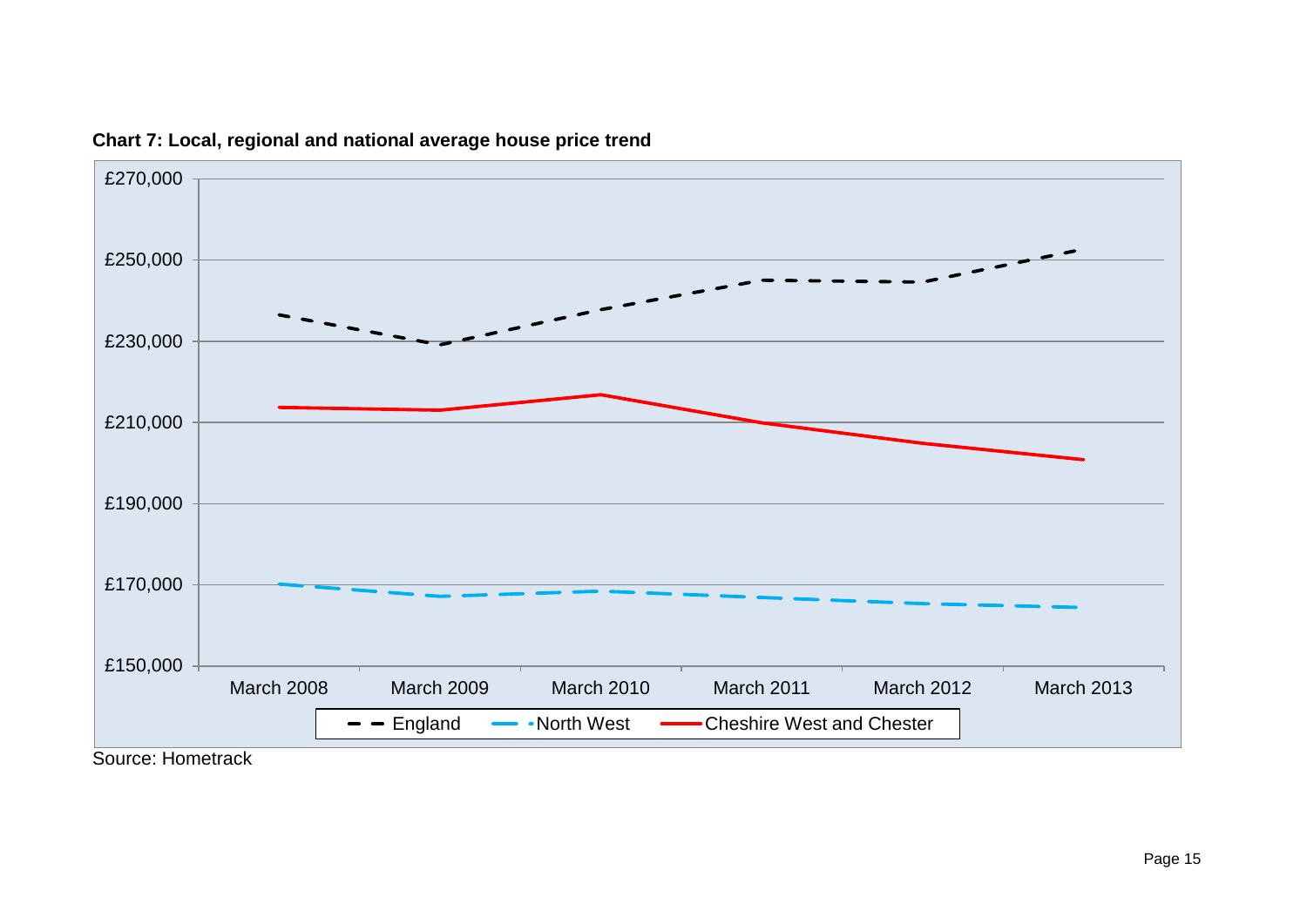<span id="page-14-0"></span>

**Chart 7: Local, regional and national average house price trend**

Page 15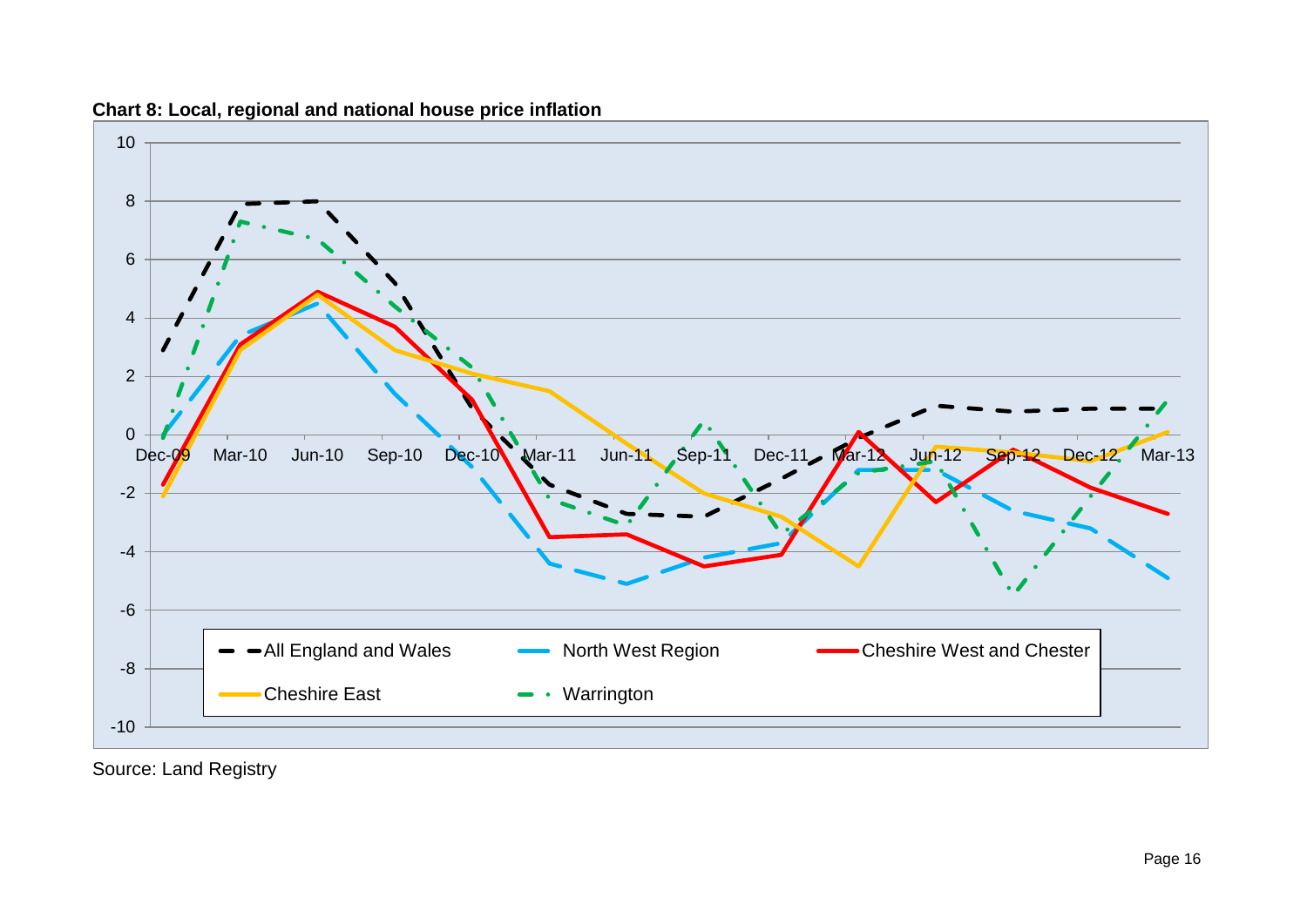

**Chart 8: Local, regional and national house price inflation** 

<span id="page-15-0"></span>Source: Land Registry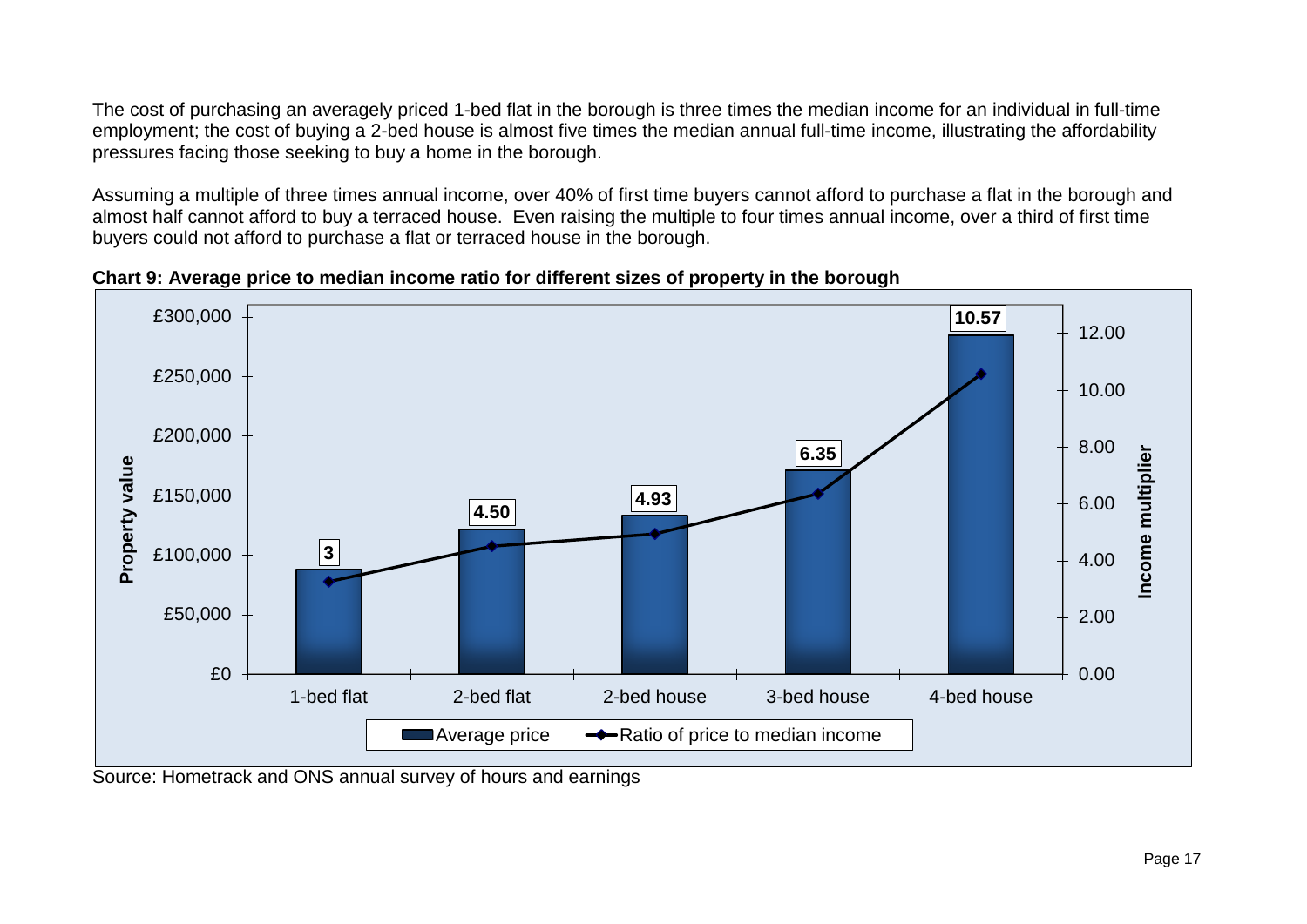The cost of purchasing an averagely priced 1-bed flat in the borough is three times the median income for an individual in full-time employment; the cost of buying a 2-bed house is almost five times the median annual full-time income, illustrating the affordability pressures facing those seeking to buy a home in the borough.

Assuming a multiple of three times annual income, over 40% of first time buyers cannot afford to purchase a flat in the borough and almost half cannot afford to buy a terraced house. Even raising the multiple to four times annual income, over a third of first time buyers could not afford to purchase a flat or terraced house in the borough.

**Chart 9: Average price to median income ratio for different sizes of property in the borough**



<span id="page-16-0"></span>Source: Hometrack and ONS annual survey of hours and earnings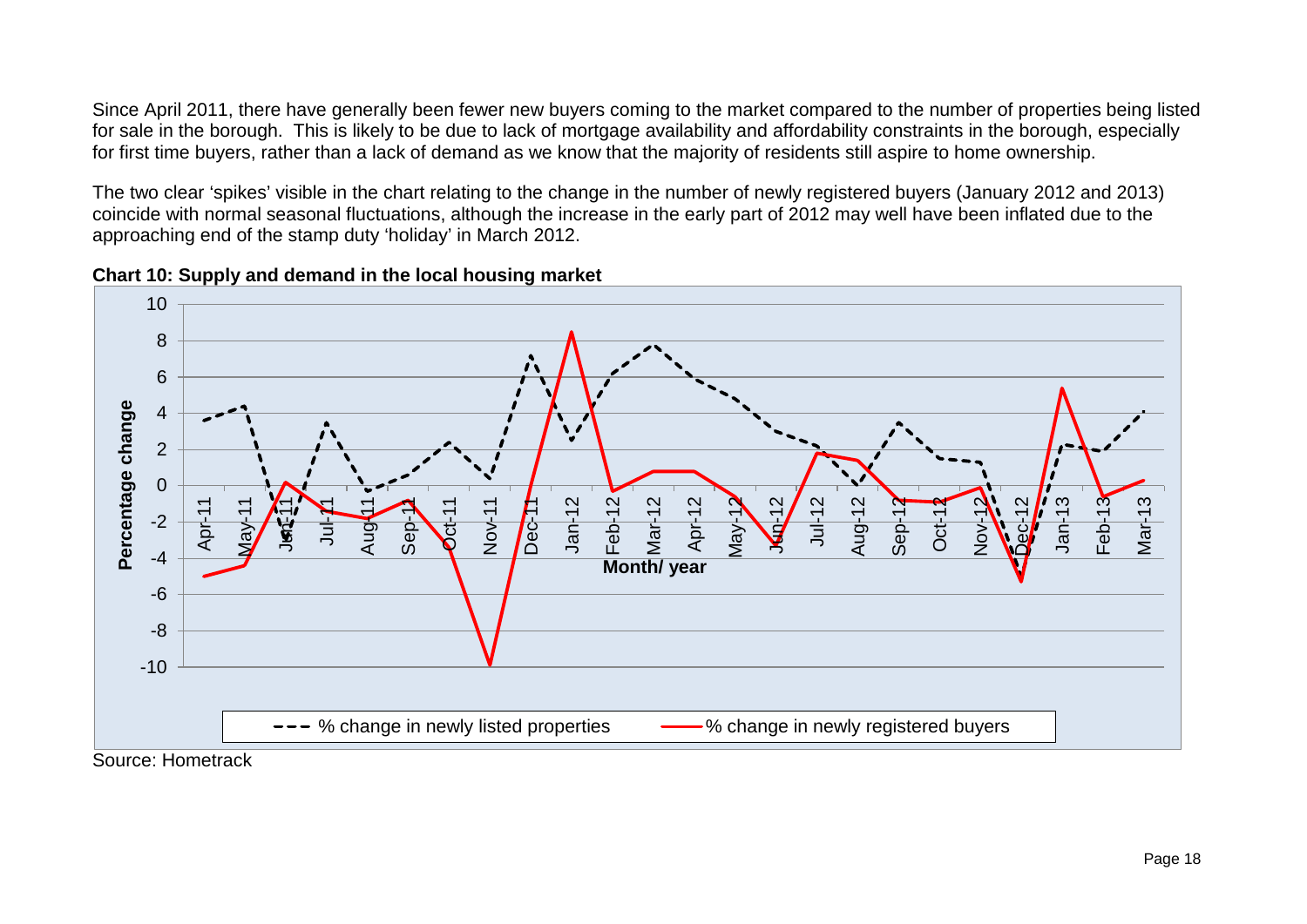Since April 2011, there have generally been fewer new buyers coming to the market compared to the number of properties being listed for sale in the borough. This is likely to be due to lack of mortgage availability and affordability constraints in the borough, especially for first time buyers, rather than a lack of demand as we know that the majority of residents still aspire to home ownership.

The two clear 'spikes' visible in the chart relating to the change in the number of newly registered buyers (January 2012 and 2013) coincide with normal seasonal fluctuations, although the increase in the early part of 2012 may well have been inflated due to the approaching end of the stamp duty 'holiday' in March 2012.



<span id="page-17-0"></span>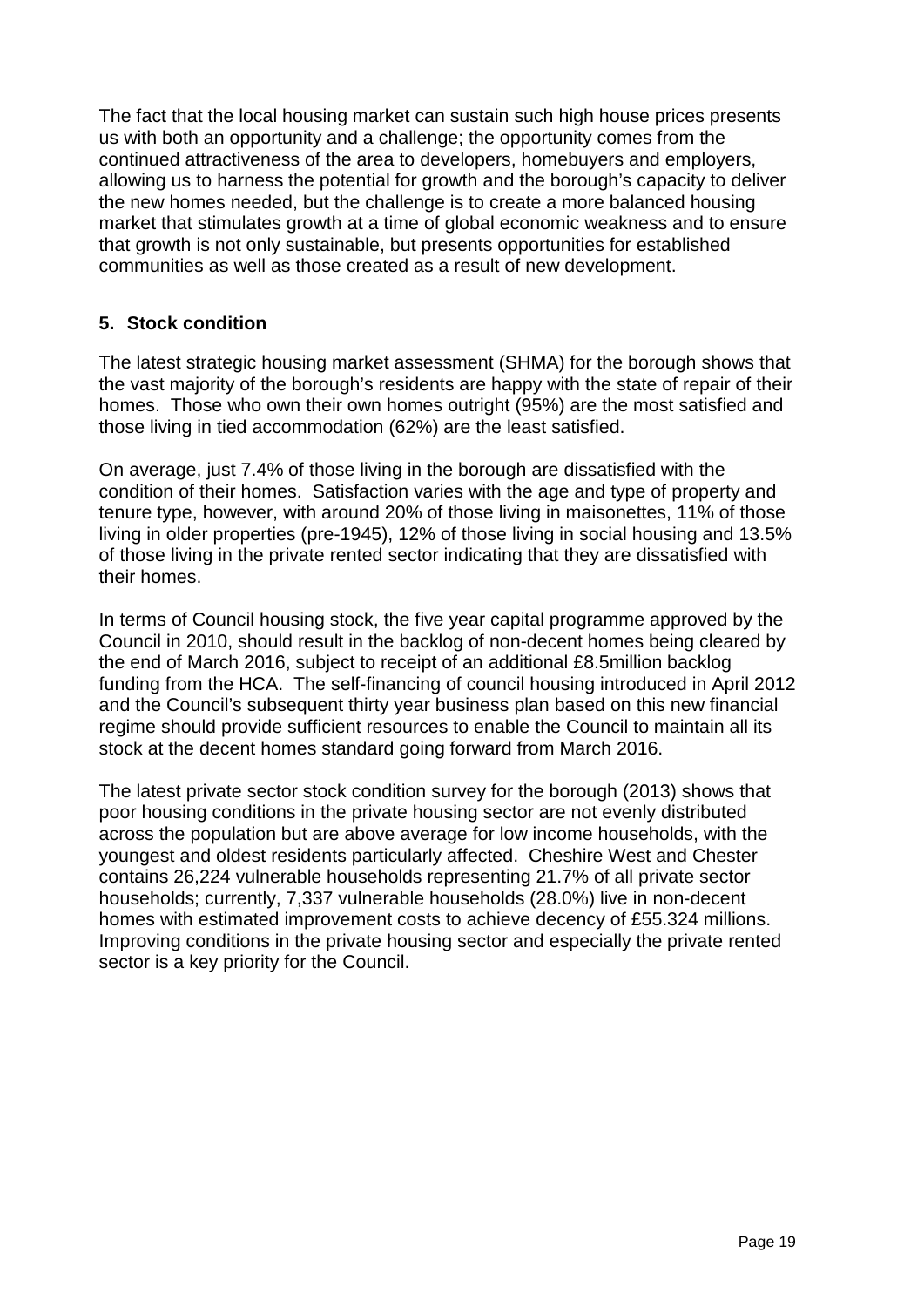The fact that the local housing market can sustain such high house prices presents us with both an opportunity and a challenge; the opportunity comes from the continued attractiveness of the area to developers, homebuyers and employers, allowing us to harness the potential for growth and the borough's capacity to deliver the new homes needed, but the challenge is to create a more balanced housing market that stimulates growth at a time of global economic weakness and to ensure that growth is not only sustainable, but presents opportunities for established communities as well as those created as a result of new development.

### <span id="page-18-0"></span>**5. Stock condition**

The latest strategic housing market assessment (SHMA) for the borough shows that the vast majority of the borough's residents are happy with the state of repair of their homes. Those who own their own homes outright (95%) are the most satisfied and those living in tied accommodation (62%) are the least satisfied.

On average, just 7.4% of those living in the borough are dissatisfied with the condition of their homes. Satisfaction varies with the age and type of property and tenure type, however, with around 20% of those living in maisonettes, 11% of those living in older properties (pre-1945), 12% of those living in social housing and 13.5% of those living in the private rented sector indicating that they are dissatisfied with their homes.

In terms of Council housing stock, the five year capital programme approved by the Council in 2010, should result in the backlog of non-decent homes being cleared by the end of March 2016, subject to receipt of an additional £8.5million backlog funding from the HCA. The self-financing of council housing introduced in April 2012 and the Council's subsequent thirty year business plan based on this new financial regime should provide sufficient resources to enable the Council to maintain all its stock at the decent homes standard going forward from March 2016.

The latest private sector stock condition survey for the borough (2013) shows that poor housing conditions in the private housing sector are not evenly distributed across the population but are above average for low income households, with the youngest and oldest residents particularly affected. Cheshire West and Chester contains 26,224 vulnerable households representing 21.7% of all private sector households; currently, 7,337 vulnerable households (28.0%) live in non-decent homes with estimated improvement costs to achieve decency of £55.324 millions. Improving conditions in the private housing sector and especially the private rented sector is a key priority for the Council.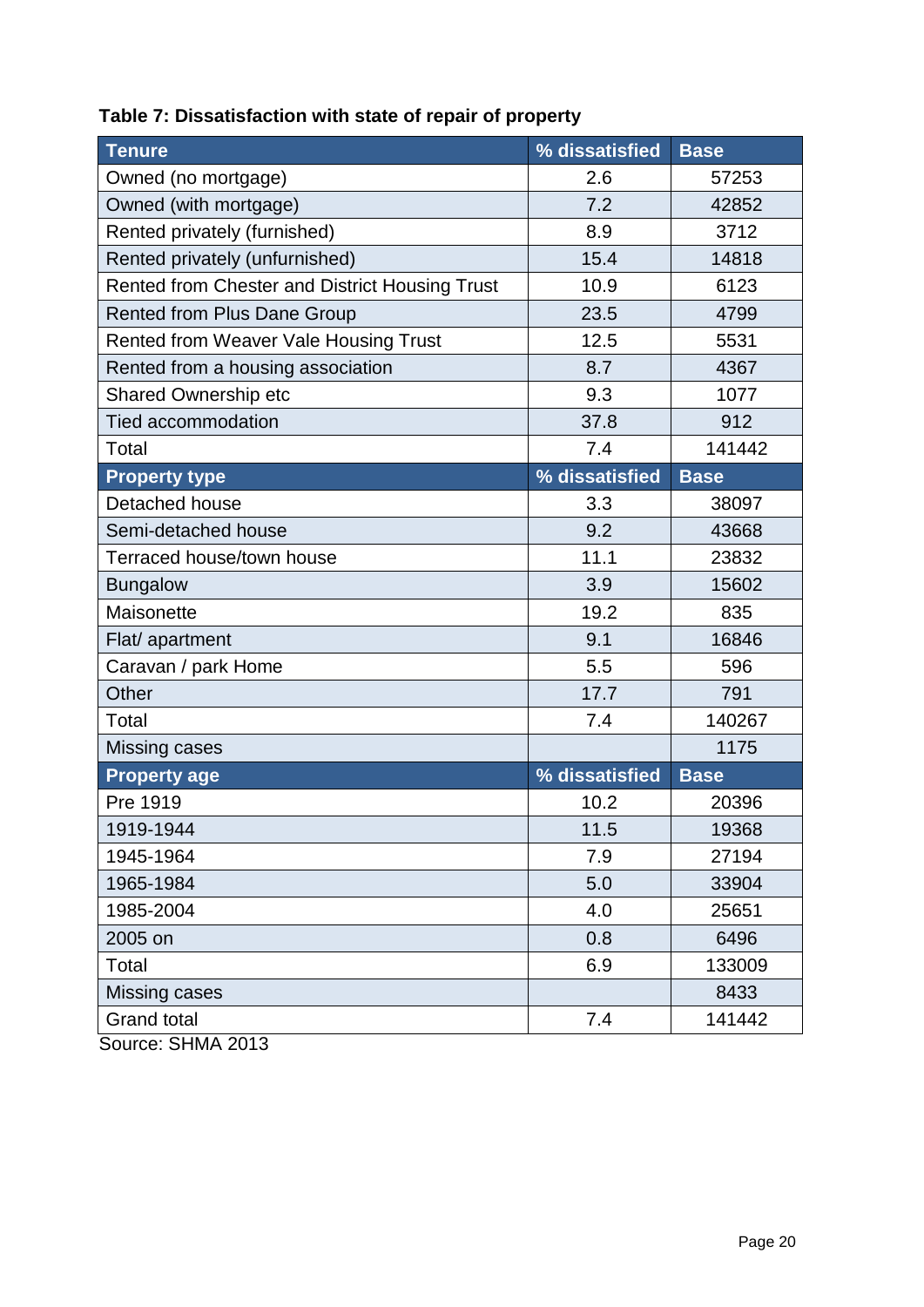| <b>Tenure</b>                                  | % dissatisfied | <b>Base</b> |
|------------------------------------------------|----------------|-------------|
| Owned (no mortgage)                            | 2.6            | 57253       |
| Owned (with mortgage)                          | 7.2            | 42852       |
| Rented privately (furnished)                   | 8.9            | 3712        |
| Rented privately (unfurnished)                 | 15.4           | 14818       |
| Rented from Chester and District Housing Trust | 10.9           | 6123        |
| <b>Rented from Plus Dane Group</b>             | 23.5           | 4799        |
| Rented from Weaver Vale Housing Trust          | 12.5           | 5531        |
| Rented from a housing association              | 8.7            | 4367        |
| <b>Shared Ownership etc</b>                    | 9.3            | 1077        |
| <b>Tied accommodation</b>                      | 37.8           | 912         |
| Total                                          | 7.4            | 141442      |
| <b>Property type</b>                           | % dissatisfied | <b>Base</b> |
| Detached house                                 | 3.3            | 38097       |
| Semi-detached house                            | 9.2            | 43668       |
| Terraced house/town house                      | 11.1           | 23832       |
| <b>Bungalow</b>                                | 3.9            | 15602       |
| Maisonette                                     | 19.2           | 835         |
| Flat/ apartment                                | 9.1            | 16846       |
| Caravan / park Home                            | 5.5            | 596         |
| Other                                          | 17.7           | 791         |
| Total                                          | 7.4            | 140267      |
| Missing cases                                  |                | 1175        |
| <b>Property age</b>                            | % dissatisfied | <b>Base</b> |
| Pre 1919                                       | 10.2           | 20396       |
| 1919-1944                                      | 11.5           | 19368       |
| 1945-1964                                      | 7.9            | 27194       |
| 1965-1984                                      | 5.0            | 33904       |
| 1985-2004                                      | 4.0            | 25651       |
| 2005 on                                        | 0.8            | 6496        |
| Total                                          | 6.9            | 133009      |
| Missing cases                                  |                | 8433        |
| <b>Grand total</b>                             | 7.4            | 141442      |

# **Table 7: Dissatisfaction with state of repair of property**

Source: SHMA 2013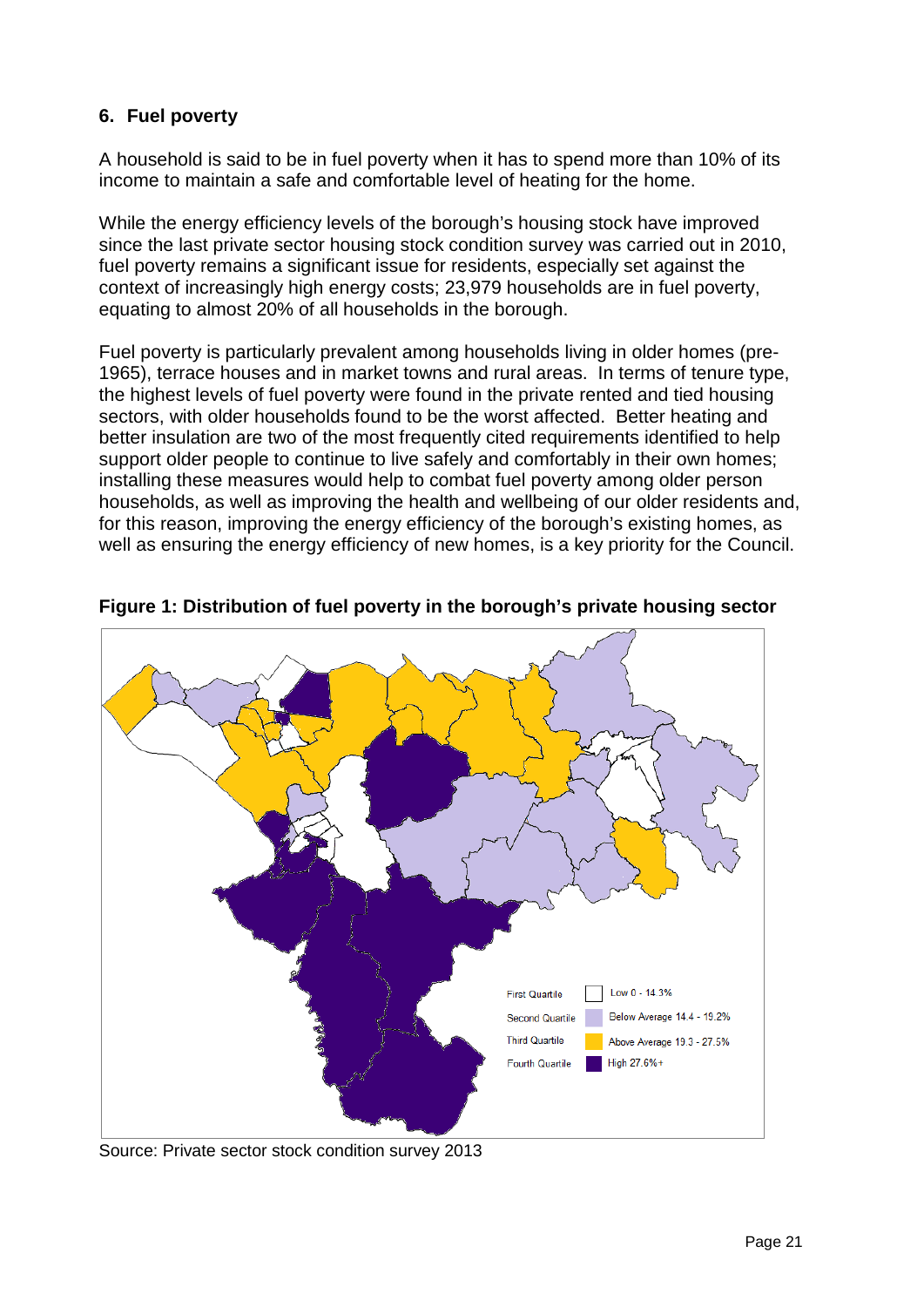### **6. Fuel poverty**

A household is said to be in fuel poverty when it has to spend more than 10% of its income to maintain a safe and comfortable level of heating for the home.

While the energy efficiency levels of the borough's housing stock have improved since the last private sector housing stock condition survey was carried out in 2010, fuel poverty remains a significant issue for residents, especially set against the context of increasingly high energy costs; 23,979 households are in fuel poverty, equating to almost 20% of all households in the borough.

Fuel poverty is particularly prevalent among households living in older homes (pre-1965), terrace houses and in market towns and rural areas. In terms of tenure type, the highest levels of fuel poverty were found in the private rented and tied housing sectors, with older households found to be the worst affected. Better heating and better insulation are two of the most frequently cited requirements identified to help support older people to continue to live safely and comfortably in their own homes; installing these measures would help to combat fuel poverty among older person households, as well as improving the health and wellbeing of our older residents and, for this reason, improving the energy efficiency of the borough's existing homes, as well as ensuring the energy efficiency of new homes, is a key priority for the Council.



**Figure 1: Distribution of fuel poverty in the borough's private housing sector**

Source: Private sector stock condition survey 2013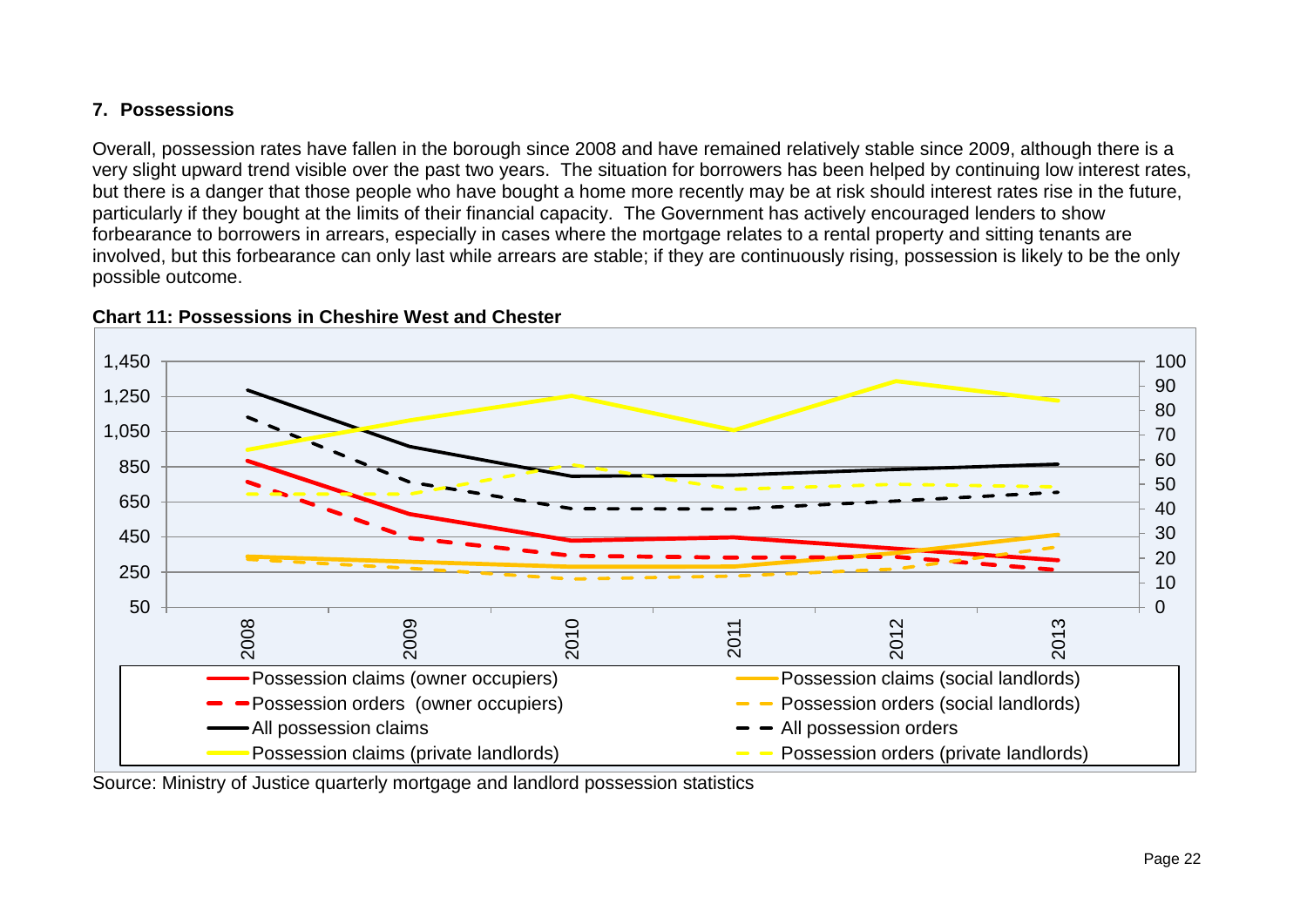### **7. Possessions**

Overall, possession rates have fallen in the borough since 2008 and have remained relatively stable since 2009, although there is a very slight upward trend visible over the past two years. The situation for borrowers has been helped by continuing low interest rates, but there is a danger that those people who have bought a home more recently may be at risk should interest rates rise in the future, particularly if they bought at the limits of their financial capacity. The Government has actively encouraged lenders to show forbearance to borrowers in arrears, especially in cases where the mortgage relates to a rental property and sitting tenants are involved, but this forbearance can only last while arrears are stable; if they are continuously rising, possession is likely to be the only possible outcome.

<span id="page-21-0"></span>



<span id="page-21-1"></span>Source: Ministry of Justice quarterly mortgage and landlord possession statistics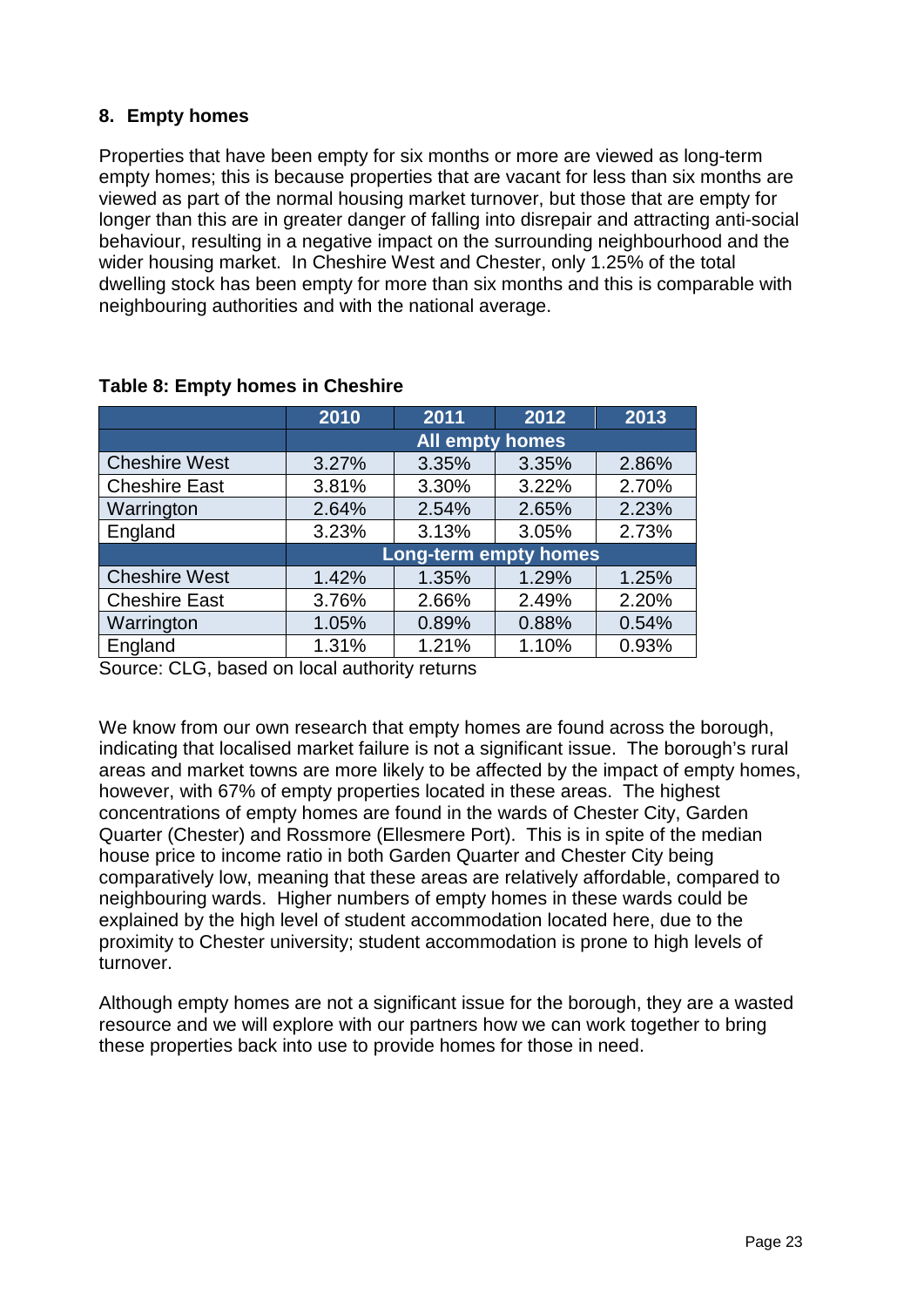### <span id="page-22-0"></span>**8. Empty homes**

Properties that have been empty for six months or more are viewed as long-term empty homes; this is because properties that are vacant for less than six months are viewed as part of the normal housing market turnover, but those that are empty for longer than this are in greater danger of falling into disrepair and attracting anti-social behaviour, resulting in a negative impact on the surrounding neighbourhood and the wider housing market. In Cheshire West and Chester, only 1.25% of the total dwelling stock has been empty for more than six months and this is comparable with neighbouring authorities and with the national average.

|                      | 2010  | 2011                   | 2012                         | 2013  |
|----------------------|-------|------------------------|------------------------------|-------|
|                      |       | <b>All empty homes</b> |                              |       |
| <b>Cheshire West</b> | 3.27% | 3.35%                  | 3.35%                        | 2.86% |
| <b>Cheshire East</b> | 3.81% | 3.30%                  | 3.22%                        | 2.70% |
| Warrington           | 2.64% | 2.54%                  | 2.65%                        | 2.23% |
| England              | 3.23% | 3.13%                  | 3.05%                        | 2.73% |
|                      |       |                        | <b>Long-term empty homes</b> |       |
| <b>Cheshire West</b> | 1.42% | 1.35%                  | 1.29%                        | 1.25% |
| <b>Cheshire East</b> | 3.76% | 2.66%                  | 2.49%                        | 2.20% |
| Warrington           | 1.05% | 0.89%                  | 0.88%                        | 0.54% |
| England              | 1.31% | 1.21%                  | 1.10%                        | 0.93% |

#### <span id="page-22-1"></span>**Table 8: Empty homes in Cheshire**

Source: CLG, based on local authority returns

We know from our own research that empty homes are found across the borough, indicating that localised market failure is not a significant issue. The borough's rural areas and market towns are more likely to be affected by the impact of empty homes, however, with 67% of empty properties located in these areas. The highest concentrations of empty homes are found in the wards of Chester City, Garden Quarter (Chester) and Rossmore (Ellesmere Port). This is in spite of the median house price to income ratio in both Garden Quarter and Chester City being comparatively low, meaning that these areas are relatively affordable, compared to neighbouring wards. Higher numbers of empty homes in these wards could be explained by the high level of student accommodation located here, due to the proximity to Chester university; student accommodation is prone to high levels of turnover.

Although empty homes are not a significant issue for the borough, they are a wasted resource and we will explore with our partners how we can work together to bring these properties back into use to provide homes for those in need.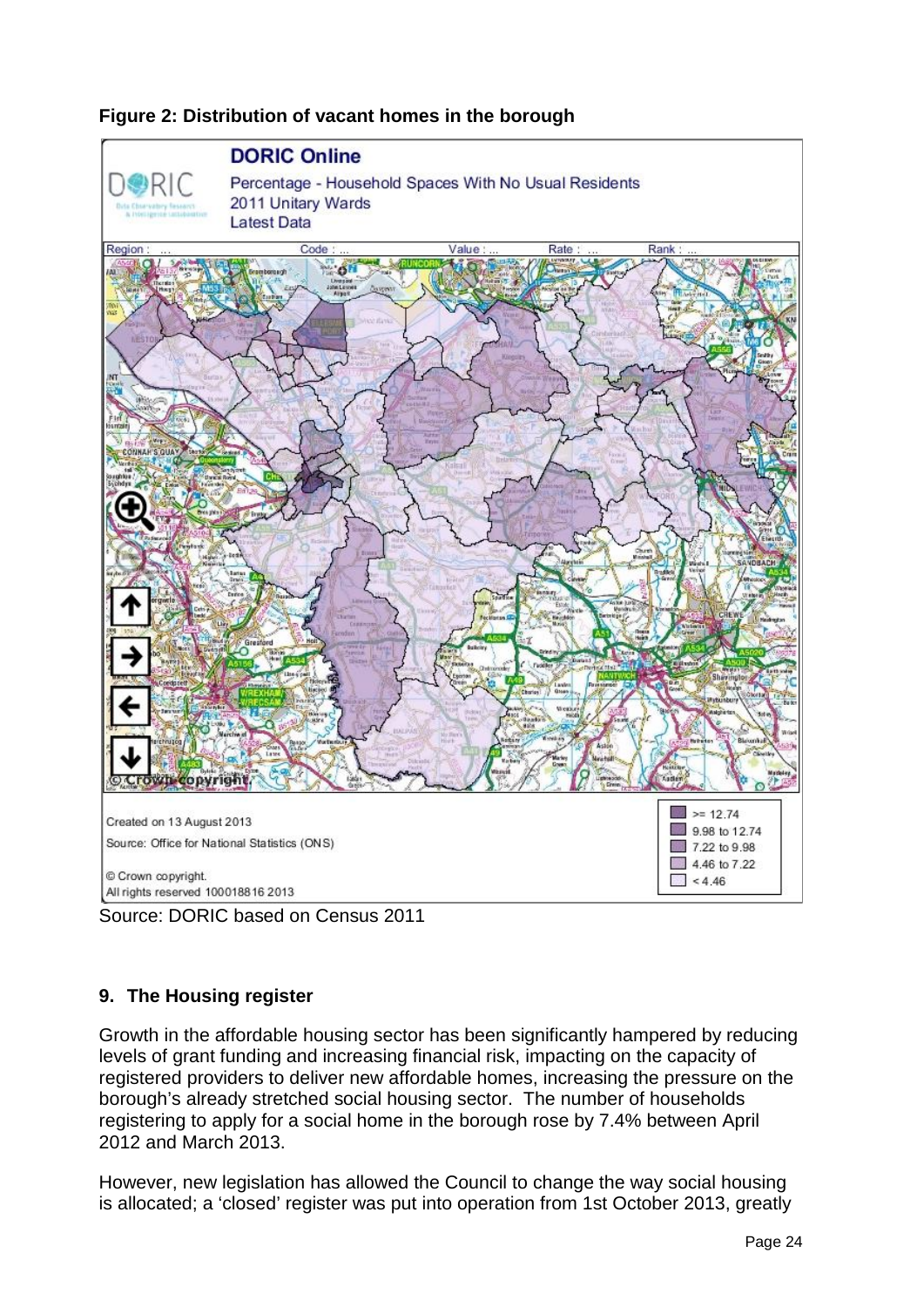

### **Figure 2: Distribution of vacant homes in the borough**



### <span id="page-23-0"></span>**9. The Housing register**

Growth in the affordable housing sector has been significantly hampered by reducing levels of grant funding and increasing financial risk, impacting on the capacity of registered providers to deliver new affordable homes, increasing the pressure on the borough's already stretched social housing sector. The number of households registering to apply for a social home in the borough rose by 7.4% between April 2012 and March 2013.

However, new legislation has allowed the Council to change the way social housing is allocated; a 'closed' register was put into operation from 1st October 2013, greatly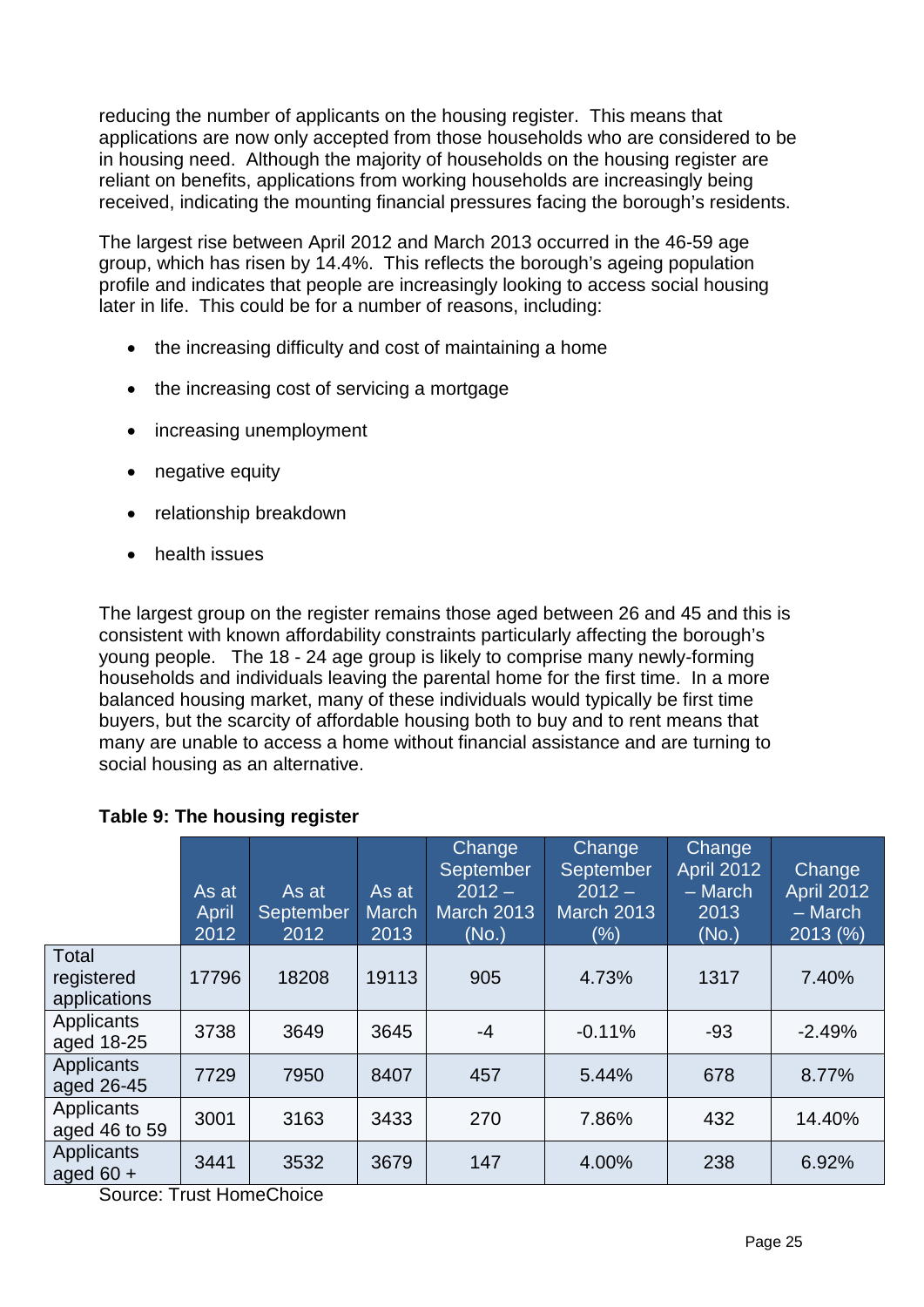reducing the number of applicants on the housing register. This means that applications are now only accepted from those households who are considered to be in housing need. Although the majority of households on the housing register are reliant on benefits, applications from working households are increasingly being received, indicating the mounting financial pressures facing the borough's residents.

The largest rise between April 2012 and March 2013 occurred in the 46-59 age group, which has risen by 14.4%. This reflects the borough's ageing population profile and indicates that people are increasingly looking to access social housing later in life. This could be for a number of reasons, including:

- the increasing difficulty and cost of maintaining a home
- the increasing cost of servicing a mortgage
- increasing unemployment
- negative equity
- relationship breakdown
- health issues

The largest group on the register remains those aged between 26 and 45 and this is consistent with known affordability constraints particularly affecting the borough's young people. The 18 - 24 age group is likely to comprise many newly-forming households and individuals leaving the parental home for the first time. In a more balanced housing market, many of these individuals would typically be first time buyers, but the scarcity of affordable housing both to buy and to rent means that many are unable to access a home without financial assistance and are turning to social housing as an alternative.

### <span id="page-24-0"></span>**Table 9: The housing register**

|                                     | As at<br>April<br>2012 | As at<br>September<br>2012 | As at<br><b>March</b><br>2013 | Change<br><b>September</b><br>$2012 -$<br><b>March 2013</b><br>(No.) | <b>Change</b><br>September<br>$2012 -$<br><b>March 2013</b><br>$(\%)$ | <b>Change</b><br><b>April 2012</b><br>$-$ March<br>2013<br>(No.) | Change<br><b>April 2012</b><br>$-$ March<br>2013 (%) |
|-------------------------------------|------------------------|----------------------------|-------------------------------|----------------------------------------------------------------------|-----------------------------------------------------------------------|------------------------------------------------------------------|------------------------------------------------------|
| Total<br>registered<br>applications | 17796                  | 18208                      | 19113                         | 905                                                                  | 4.73%                                                                 | 1317                                                             | 7.40%                                                |
| Applicants<br>aged 18-25            | 3738                   | 3649                       | 3645                          | $-4$                                                                 | $-0.11%$                                                              | $-93$                                                            | $-2.49%$                                             |
| Applicants<br>aged 26-45            | 7729                   | 7950                       | 8407                          | 457                                                                  | 5.44%                                                                 | 678                                                              | 8.77%                                                |
| Applicants<br>aged 46 to 59         | 3001                   | 3163                       | 3433                          | 270                                                                  | 7.86%                                                                 | 432                                                              | 14.40%                                               |
| Applicants<br>aged $60 +$           | 3441                   | 3532                       | 3679                          | 147                                                                  | 4.00%                                                                 | 238                                                              | 6.92%                                                |

Source: Trust HomeChoice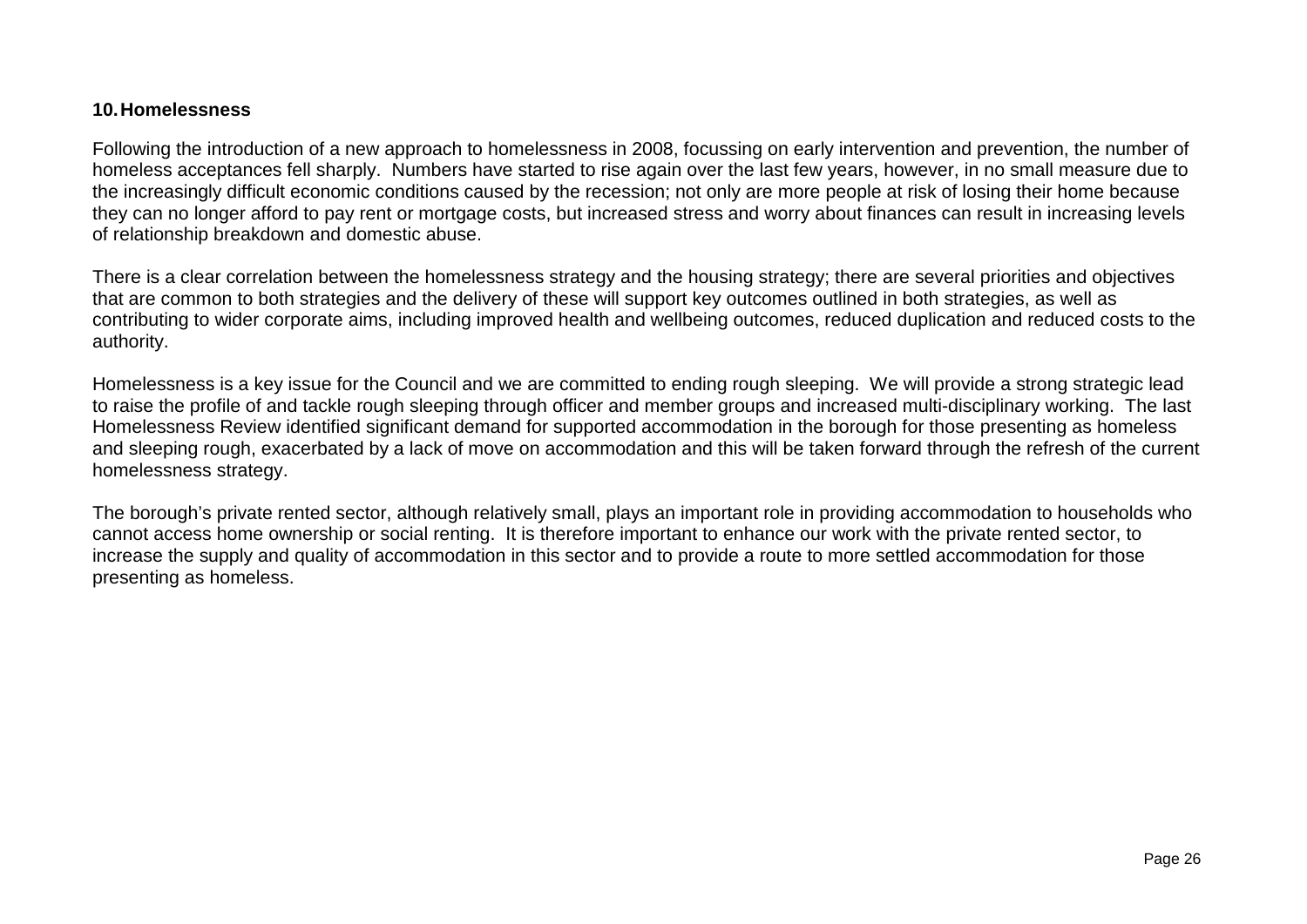#### **10.Homelessness**

Following the introduction of a new approach to homelessness in 2008, focussing on early intervention and prevention, the number of homeless acceptances fell sharply. Numbers have started to rise again over the last few years, however, in no small measure due to the increasingly difficult economic conditions caused by the recession; not only are more people at risk of losing their home because they can no longer afford to pay rent or mortgage costs, but increased stress and worry about finances can result in increasing levels of relationship breakdown and domestic abuse.

There is a clear correlation between the homelessness strategy and the housing strategy; there are several priorities and objectives that are common to both strategies and the delivery of these will support key outcomes outlined in both strategies, as well as contributing to wider corporate aims, including improved health and wellbeing outcomes, reduced duplication and reduced costs to the authority.

Homelessness is a key issue for the Council and we are committed to ending rough sleeping. We will provide a strong strategic lead to raise the profile of and tackle rough sleeping through officer and member groups and increased multi-disciplinary working. The last Homelessness Review identified significant demand for supported accommodation in the borough for those presenting as homeless and sleeping rough, exacerbated by a lack of move on accommodation and this will be taken forward through the refresh of the current homelessness strategy.

<span id="page-25-1"></span><span id="page-25-0"></span>The borough's private rented sector, although relatively small, plays an important role in providing accommodation to households who cannot access home ownership or social renting. It is therefore important to enhance our work with the private rented sector, to increase the supply and quality of accommodation in this sector and to provide a route to more settled accommodation for those presenting as homeless.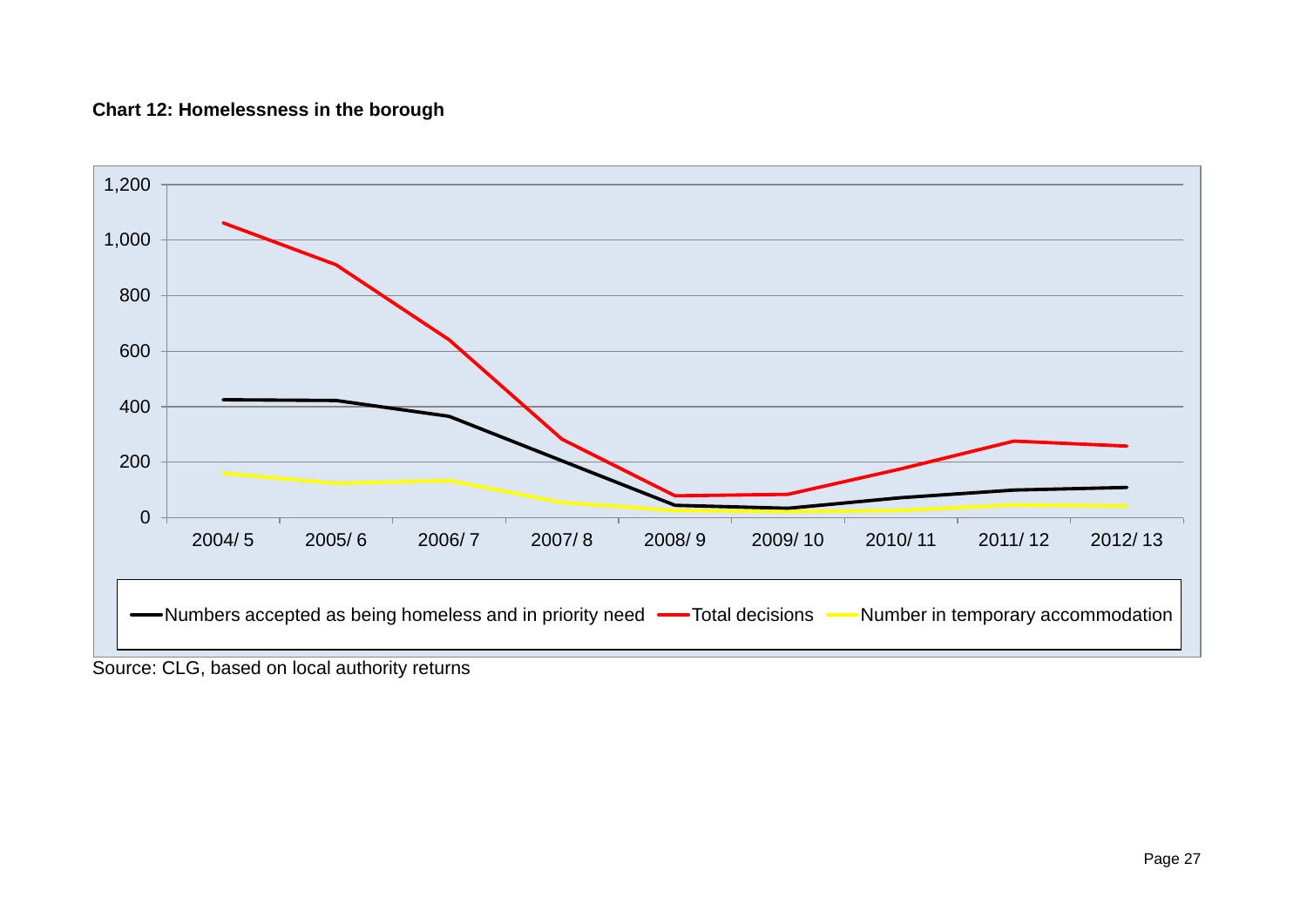### **Chart 12: Homelessness in the borough**



Source: CLG, based on local authority returns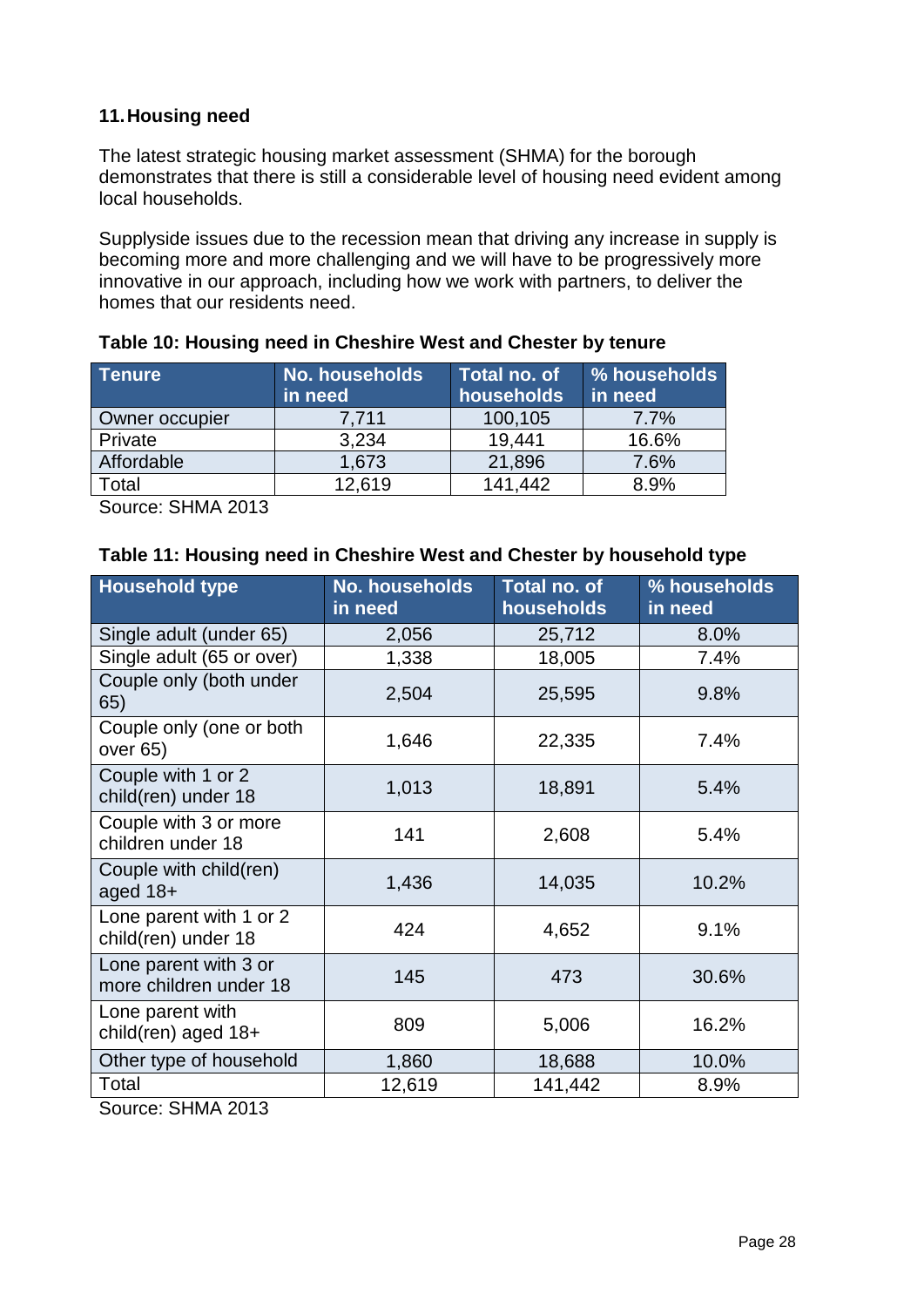### <span id="page-27-0"></span>**11.Housing need**

The latest strategic housing market assessment (SHMA) for the borough demonstrates that there is still a considerable level of housing need evident among local households.

Supplyside issues due to the recession mean that driving any increase in supply is becoming more and more challenging and we will have to be progressively more innovative in our approach, including how we work with partners, to deliver the homes that our residents need.

| <b>Tenure</b>  | <b>No. households</b><br>in need | Total no. of<br>households | % households<br>in need |
|----------------|----------------------------------|----------------------------|-------------------------|
| Owner occupier | 7.711                            | 100,105                    | $7.7\%$                 |
| Private        | 3,234                            | 19,441                     | 16.6%                   |
| Affordable     | 1,673                            | 21,896                     | 7.6%                    |
| Total          | 12,619                           | 141.442                    | 8.9%                    |

<span id="page-27-1"></span>

| Table 10: Housing need in Cheshire West and Chester by tenure |  |  |
|---------------------------------------------------------------|--|--|
|---------------------------------------------------------------|--|--|

Source: SHMA 2013

<span id="page-27-2"></span>

| Table 11: Housing need in Cheshire West and Chester by household type |
|-----------------------------------------------------------------------|
|-----------------------------------------------------------------------|

| <b>Household type</b>                           | No. households<br>in need | Total no. of<br>households | % households<br>in need |
|-------------------------------------------------|---------------------------|----------------------------|-------------------------|
| Single adult (under 65)                         | 2,056                     | 25,712                     | 8.0%                    |
| Single adult (65 or over)                       | 1,338                     | 18,005                     | 7.4%                    |
| Couple only (both under<br>65)                  | 2,504                     | 25,595                     | 9.8%                    |
| Couple only (one or both<br>over 65)            | 1,646                     | 22,335                     | 7.4%                    |
| Couple with 1 or 2<br>child(ren) under 18       | 1,013                     | 18,891                     | 5.4%                    |
| Couple with 3 or more<br>children under 18      | 141                       | 2,608                      | 5.4%                    |
| Couple with child(ren)<br>aged $18+$            | 1,436                     | 14,035                     | 10.2%                   |
| Lone parent with 1 or 2<br>child(ren) under 18  | 424                       | 4,652                      | 9.1%                    |
| Lone parent with 3 or<br>more children under 18 | 145                       | 473                        | 30.6%                   |
| Lone parent with<br>child(ren) aged 18+         | 809                       | 5,006                      | 16.2%                   |
| Other type of household                         | 1,860                     | 18,688                     | 10.0%                   |
| Total                                           | 12,619                    | 141,442                    | 8.9%                    |
| $\mathcal{L}_{\mathsf{outmax}}$ : CLIMA 2012    |                           |                            |                         |

<span id="page-27-3"></span>Source: SHMA 2013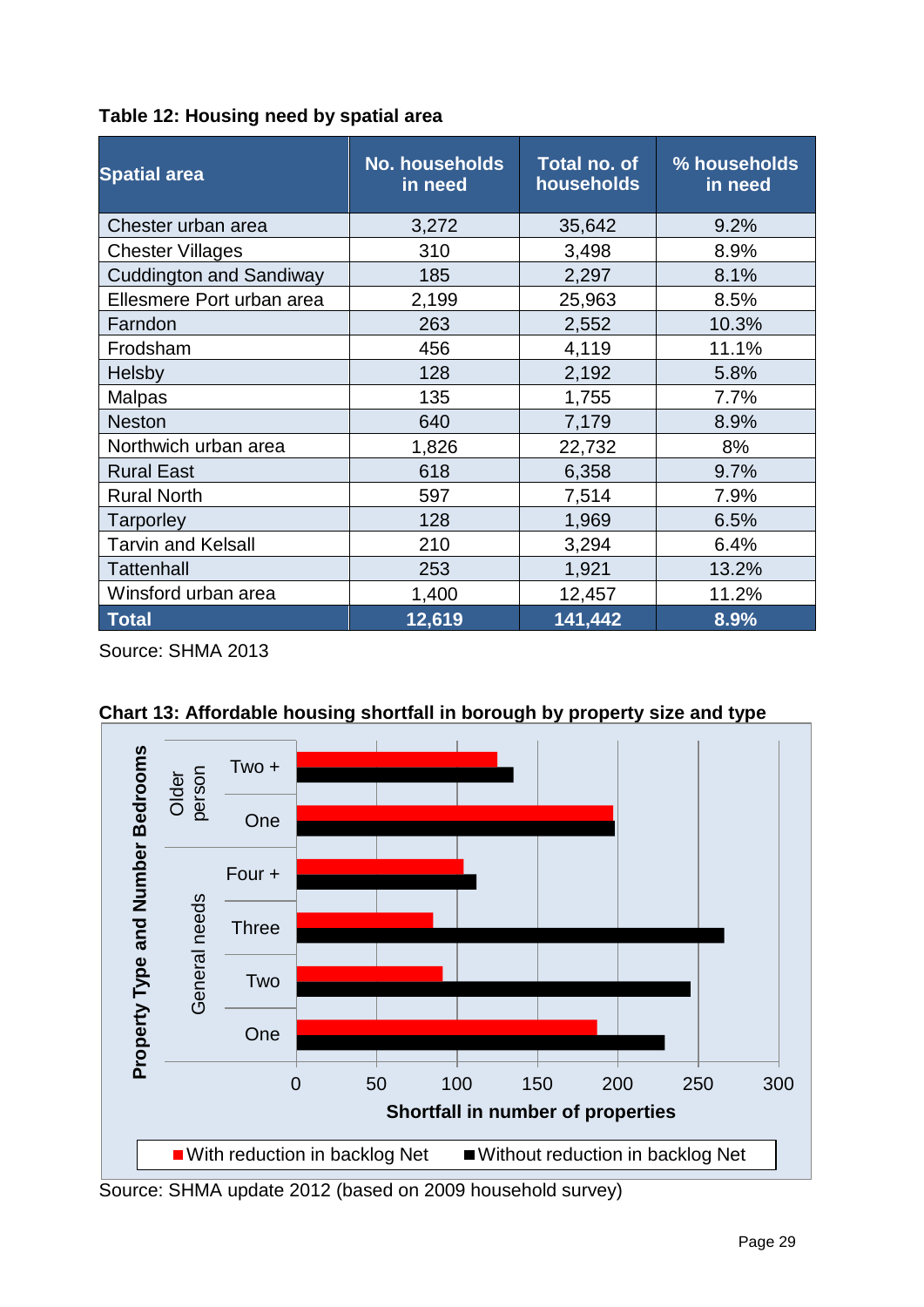| Table 12: Housing need by spatial area |  |  |  |  |  |  |  |
|----------------------------------------|--|--|--|--|--|--|--|
|----------------------------------------|--|--|--|--|--|--|--|

| <b>Spatial area</b>            | <b>No. households</b><br>in need | Total no. of<br>households | % households<br>in need |
|--------------------------------|----------------------------------|----------------------------|-------------------------|
| Chester urban area             | 3,272                            | 35,642                     | 9.2%                    |
| <b>Chester Villages</b>        | 310                              | 3,498                      | 8.9%                    |
| <b>Cuddington and Sandiway</b> | 185                              | 2,297                      | 8.1%                    |
| Ellesmere Port urban area      | 2,199                            | 25,963                     | 8.5%                    |
| Farndon                        | 263                              | 2,552                      | 10.3%                   |
| Frodsham                       | 456                              | 4,119                      | 11.1%                   |
| <b>Helsby</b>                  | 128                              | 2,192                      | 5.8%                    |
| <b>Malpas</b>                  | 135                              | 1,755                      | 7.7%                    |
| <b>Neston</b>                  | 640                              | 7,179                      | 8.9%                    |
| Northwich urban area           | 1,826                            | 22,732                     | 8%                      |
| <b>Rural East</b>              | 618                              | 6,358                      | 9.7%                    |
| <b>Rural North</b>             | 597                              | 7,514                      | 7.9%                    |
| Tarporley                      | 128<br>1,969                     |                            | 6.5%                    |
| <b>Tarvin and Kelsall</b>      | 210                              | 3,294                      | 6.4%                    |
| <b>Tattenhall</b>              | 253                              | 1,921                      | 13.2%                   |
| Winsford urban area            | 1,400                            | 12,457                     | 11.2%                   |
| <b>Total</b>                   | 12,619                           | 141,442                    | 8.9%                    |

Source: SHMA 2013



<span id="page-28-0"></span>**Chart 13: Affordable housing shortfall in borough by property size and type**

Source: SHMA update 2012 (based on 2009 household survey)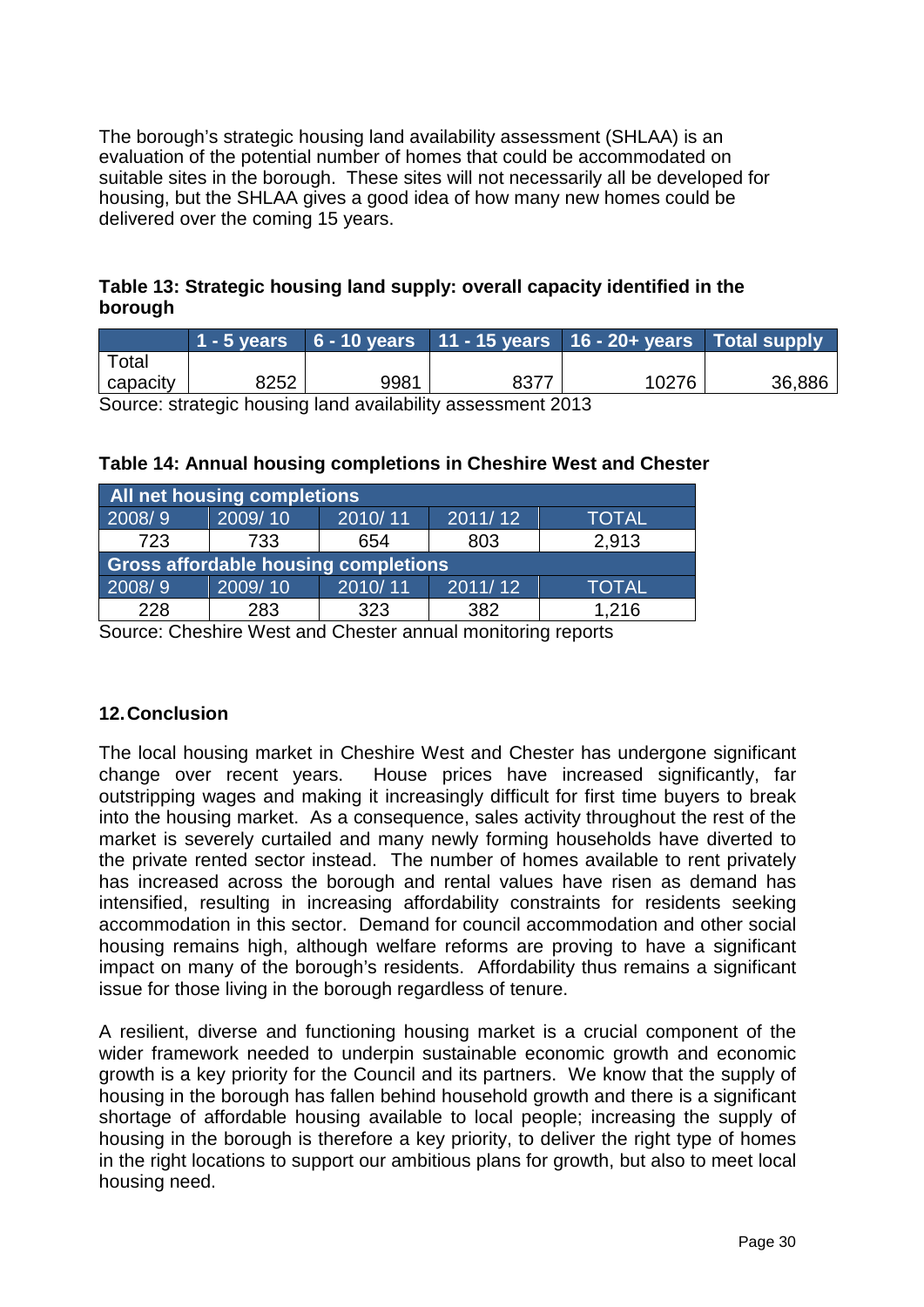The borough's strategic housing land availability assessment (SHLAA) is an evaluation of the potential number of homes that could be accommodated on suitable sites in the borough. These sites will not necessarily all be developed for housing, but the SHLAA gives a good idea of how many new homes could be delivered over the coming 15 years.

### <span id="page-29-1"></span>**Table 13: Strategic housing land supply: overall capacity identified in the borough**

|          |      |      |                                                  | $1 - 5$ years $6 - 10$ years $11 - 15$ years $16 - 20 +$ years Total supply |        |
|----------|------|------|--------------------------------------------------|-----------------------------------------------------------------------------|--------|
| Total    |      |      |                                                  |                                                                             |        |
| capacity | 8252 | 9981 | 8377                                             | 10276                                                                       | 36,886 |
|          |      |      | $\sim$ $\sim$ $\sim$ $\sim$ $\sim$ $\sim$ $\sim$ |                                                                             |        |

Source: strategic housing land availability assessment 2013

<span id="page-29-2"></span>

| Table 14: Annual housing completions in Cheshire West and Chester |  |
|-------------------------------------------------------------------|--|
|-------------------------------------------------------------------|--|

| <b>All net housing completions</b>          |         |         |         |              |  |  |
|---------------------------------------------|---------|---------|---------|--------------|--|--|
| 2008/9                                      | 2009/10 | 2010/11 | 2011/12 | <b>TOTAL</b> |  |  |
| 723                                         | 733     | 654     | 803     | 2,913        |  |  |
| <b>Gross affordable housing completions</b> |         |         |         |              |  |  |
| 2008/9                                      | 2009/10 | 2010/11 | 2011/12 | <b>TOTAL</b> |  |  |
| 228                                         | 283     | 323     | 382     | 1,216        |  |  |

Source: Cheshire West and Chester annual monitoring reports

### <span id="page-29-0"></span>**12.Conclusion**

The local housing market in Cheshire West and Chester has undergone significant change over recent years. House prices have increased significantly, far outstripping wages and making it increasingly difficult for first time buyers to break into the housing market. As a consequence, sales activity throughout the rest of the market is severely curtailed and many newly forming households have diverted to the private rented sector instead. The number of homes available to rent privately has increased across the borough and rental values have risen as demand has intensified, resulting in increasing affordability constraints for residents seeking accommodation in this sector. Demand for council accommodation and other social housing remains high, although welfare reforms are proving to have a significant impact on many of the borough's residents. Affordability thus remains a significant issue for those living in the borough regardless of tenure.

A resilient, diverse and functioning housing market is a crucial component of the wider framework needed to underpin sustainable economic growth and economic growth is a key priority for the Council and its partners. We know that the supply of housing in the borough has fallen behind household growth and there is a significant shortage of affordable housing available to local people; increasing the supply of housing in the borough is therefore a key priority, to deliver the right type of homes in the right locations to support our ambitious plans for growth, but also to meet local housing need.